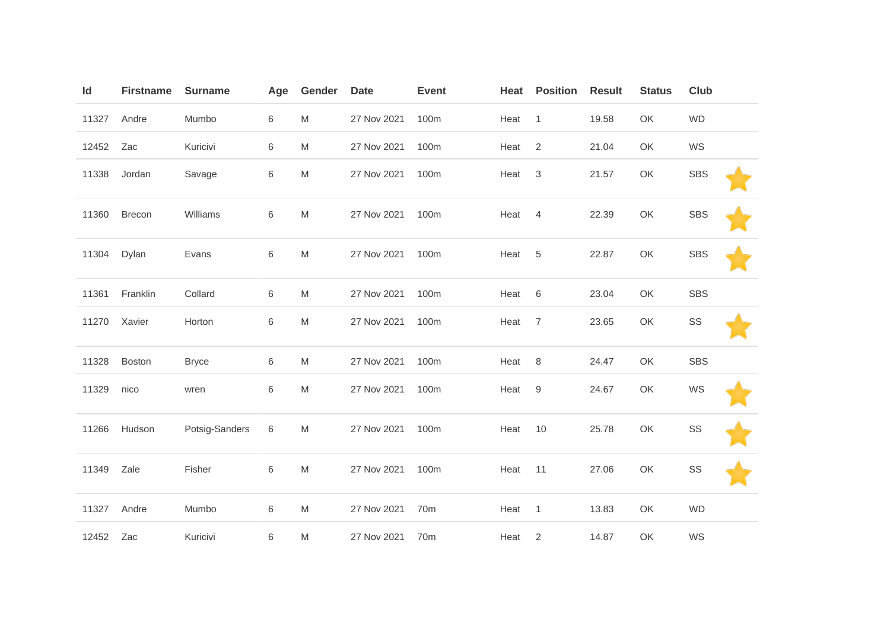| Id        | <b>Firstname</b> | <b>Surname</b> | Age | Gender                                                                                                     | <b>Date</b> | <b>Event</b>    | Heat | <b>Position</b> | <b>Result</b> | <b>Status</b> | <b>Club</b> |  |
|-----------|------------------|----------------|-----|------------------------------------------------------------------------------------------------------------|-------------|-----------------|------|-----------------|---------------|---------------|-------------|--|
| 11327     | Andre            | Mumbo          | 6   | M                                                                                                          | 27 Nov 2021 | 100m            | Heat | $\overline{1}$  | 19.58         | OK            | <b>WD</b>   |  |
| 12452     | Zac              | Kuricivi       | 6   | M                                                                                                          | 27 Nov 2021 | 100m            | Heat | $\overline{2}$  | 21.04         | OK            | WS          |  |
| 11338     | Jordan           | Savage         | 6   | ${\sf M}$                                                                                                  | 27 Nov 2021 | 100m            | Heat | $\mathsf 3$     | 21.57         | OK            | <b>SBS</b>  |  |
| 11360     | Brecon           | Williams       | 6   | M                                                                                                          | 27 Nov 2021 | 100m            | Heat | $\overline{4}$  | 22.39         | OK            | <b>SBS</b>  |  |
| 11304     | Dylan            | Evans          | 6   | M                                                                                                          | 27 Nov 2021 | 100m            | Heat | $5\phantom{.0}$ | 22.87         | OK            | <b>SBS</b>  |  |
| 11361     | Franklin         | Collard        | 6   | M                                                                                                          | 27 Nov 2021 | 100m            | Heat | 6               | 23.04         | OK            | <b>SBS</b>  |  |
| 11270     | Xavier           | Horton         | 6   | $\mathsf{M}% _{T}=\mathsf{M}_{T}\!\left( a,b\right) ,\ \mathsf{M}_{T}=\mathsf{M}_{T}\!\left( a,b\right) ,$ | 27 Nov 2021 | 100m            | Heat | $\overline{7}$  | 23.65         | OK            | SS          |  |
| 11328     | <b>Boston</b>    | <b>Bryce</b>   | 6   | M                                                                                                          | 27 Nov 2021 | 100m            | Heat | 8               | 24.47         | OK            | <b>SBS</b>  |  |
| 11329     | nico             | wren           | 6   | M                                                                                                          | 27 Nov 2021 | 100m            | Heat | 9               | 24.67         | OK            | WS          |  |
| 11266     | Hudson           | Potsig-Sanders | 6   | M                                                                                                          | 27 Nov 2021 | 100m            | Heat | 10              | 25.78         | OK            | SS          |  |
| 11349     | Zale             | Fisher         | 6   | ${\sf M}$                                                                                                  | 27 Nov 2021 | 100m            | Heat | 11              | 27.06         | OK            | SS          |  |
| 11327     | Andre            | Mumbo          | 6   | M                                                                                                          | 27 Nov 2021 | 70 <sub>m</sub> | Heat | $\overline{1}$  | 13.83         | OK            | <b>WD</b>   |  |
| 12452 Zac |                  | Kuricivi       | 6   | M                                                                                                          | 27 Nov 2021 | 70 <sub>m</sub> | Heat | 2               | 14.87         | OK            | WS          |  |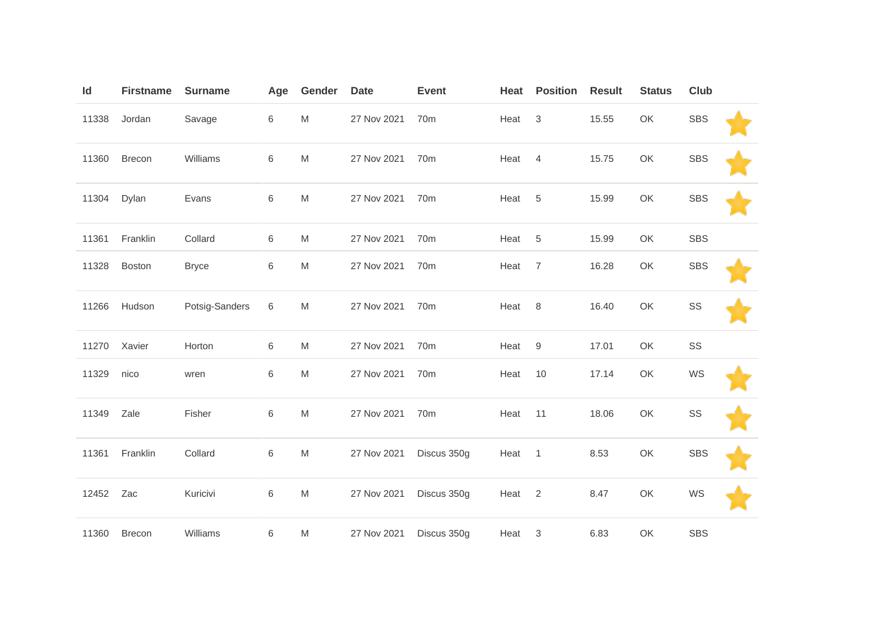| Id    | <b>Firstname</b> | <b>Surname</b> | Age | Gender                                                                                | <b>Date</b> | <b>Event</b>    | Heat              | <b>Position</b> | <b>Result</b> | <b>Status</b> | <b>Club</b> |  |
|-------|------------------|----------------|-----|---------------------------------------------------------------------------------------|-------------|-----------------|-------------------|-----------------|---------------|---------------|-------------|--|
| 11338 | Jordan           | Savage         | 6   | ${\sf M}$                                                                             | 27 Nov 2021 | 70 <sub>m</sub> | Heat              | $\mathbf{3}$    | 15.55         | OK            | <b>SBS</b>  |  |
| 11360 | Brecon           | Williams       | 6   | ${\sf M}$                                                                             | 27 Nov 2021 | 70m             | Heat              | $\overline{4}$  | 15.75         | OK            | <b>SBS</b>  |  |
| 11304 | Dylan            | Evans          | 6   | ${\sf M}$                                                                             | 27 Nov 2021 | 70 <sub>m</sub> | Heat              | $5\phantom{.0}$ | 15.99         | OK            | <b>SBS</b>  |  |
| 11361 | Franklin         | Collard        | 6   | M                                                                                     | 27 Nov 2021 | 70m             | Heat              | 5               | 15.99         | OK            | <b>SBS</b>  |  |
| 11328 | <b>Boston</b>    | <b>Bryce</b>   | 6   | M                                                                                     | 27 Nov 2021 | 70 <sub>m</sub> | Heat              | $\overline{7}$  | 16.28         | OK            | <b>SBS</b>  |  |
| 11266 | Hudson           | Potsig-Sanders | 6   | ${\sf M}$                                                                             | 27 Nov 2021 | 70m             | Heat              | 8               | 16.40         | OK            | SS          |  |
| 11270 | Xavier           | Horton         | 6   | M                                                                                     | 27 Nov 2021 | 70 <sub>m</sub> | Heat              | 9               | 17.01         | OK            | SS          |  |
| 11329 | nico             | wren           | 6   | ${\sf M}$                                                                             | 27 Nov 2021 | 70 <sub>m</sub> | Heat              | 10              | 17.14         | OK            | WS          |  |
| 11349 | Zale             | Fisher         | 6   | $\mathsf{M}% _{T}=\mathsf{M}_{T}\!\left( a,b\right) ,\ \mathsf{M}_{T}=\mathsf{M}_{T}$ | 27 Nov 2021 | 70 <sub>m</sub> | Heat              | 11              | 18.06         | OK            | SS          |  |
| 11361 | Franklin         | Collard        | 6   | M                                                                                     | 27 Nov 2021 | Discus 350g     | Heat              | $\overline{1}$  | 8.53          | OK            | <b>SBS</b>  |  |
| 12452 | Zac              | Kuricivi       | 6   | ${\sf M}$                                                                             | 27 Nov 2021 | Discus 350g     | Heat <sub>2</sub> |                 | 8.47          | OK            | WS          |  |
| 11360 | <b>Brecon</b>    | Williams       | 6   | M                                                                                     | 27 Nov 2021 | Discus 350g     | Heat 3            |                 | 6.83          | OK            | <b>SBS</b>  |  |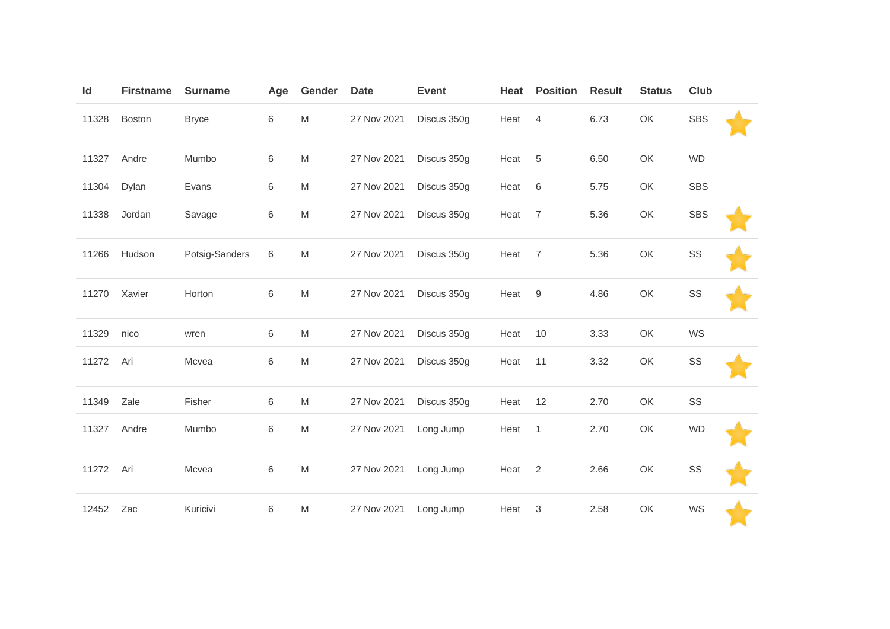| ld    | <b>Firstname</b> | <b>Surname</b> | Age     | Gender | <b>Date</b> | <b>Event</b> | Heat | <b>Position</b> | <b>Result</b> | <b>Status</b> | <b>Club</b> |  |
|-------|------------------|----------------|---------|--------|-------------|--------------|------|-----------------|---------------|---------------|-------------|--|
| 11328 | <b>Boston</b>    | <b>Bryce</b>   | 6       | M      | 27 Nov 2021 | Discus 350g  | Heat | $\overline{4}$  | 6.73          | OK            | <b>SBS</b>  |  |
| 11327 | Andre            | Mumbo          | $\,6\,$ | M      | 27 Nov 2021 | Discus 350g  | Heat | $\,$ 5 $\,$     | 6.50          | OK            | <b>WD</b>   |  |
| 11304 | Dylan            | Evans          | 6       | M      | 27 Nov 2021 | Discus 350g  | Heat | 6               | 5.75          | OK            | SBS         |  |
| 11338 | Jordan           | Savage         | 6       | M      | 27 Nov 2021 | Discus 350g  | Heat | $\overline{7}$  | 5.36          | OK            | <b>SBS</b>  |  |
| 11266 | Hudson           | Potsig-Sanders | 6       | M      | 27 Nov 2021 | Discus 350g  | Heat | $\overline{7}$  | 5.36          | OK            | SS          |  |
| 11270 | Xavier           | Horton         | $\,6$   | M      | 27 Nov 2021 | Discus 350g  | Heat | 9               | 4.86          | OK            | SS          |  |
| 11329 | nico             | wren           | 6       | M      | 27 Nov 2021 | Discus 350g  | Heat | 10              | 3.33          | OK            | WS          |  |
| 11272 | Ari              | Mcvea          | 6       | M      | 27 Nov 2021 | Discus 350g  | Heat | 11              | 3.32          | OK            | SS          |  |
| 11349 | Zale             | Fisher         | 6       | M      | 27 Nov 2021 | Discus 350g  | Heat | 12              | 2.70          | OK            | SS          |  |
| 11327 | Andre            | Mumbo          | 6       | M      | 27 Nov 2021 | Long Jump    | Heat | $\mathbf{1}$    | 2.70          | OK            | <b>WD</b>   |  |
| 11272 | Ari              | Mcvea          | $\,6$   | M      | 27 Nov 2021 | Long Jump    | Heat | $\sqrt{2}$      | 2.66          | OK            | SS          |  |
| 12452 | Zac              | Kuricivi       | $\,6\,$ | M      | 27 Nov 2021 | Long Jump    | Heat | 3               | 2.58          | OK            | WS          |  |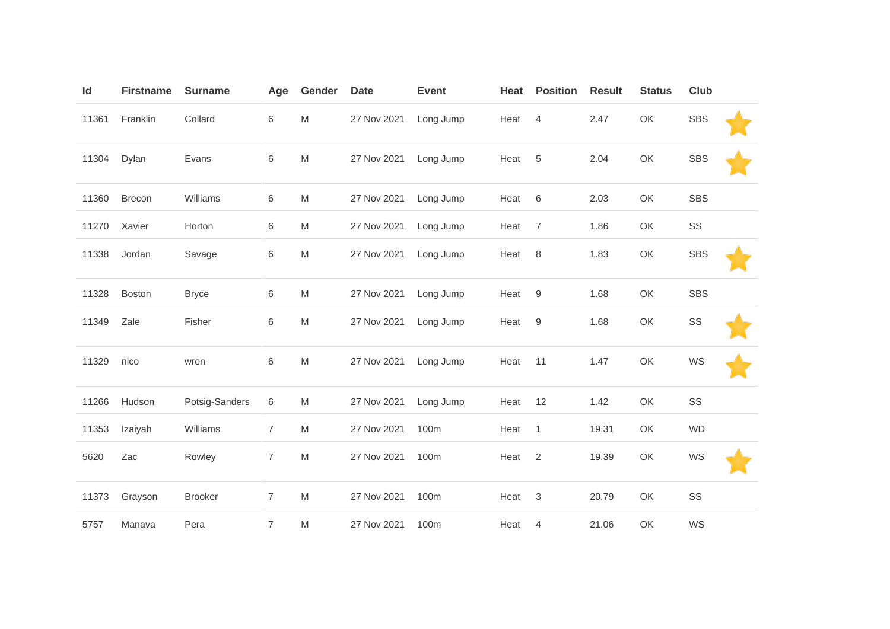| Id    | <b>Firstname</b> | <b>Surname</b> | Age            | Gender                                                                                                     | <b>Date</b> | <b>Event</b> | Heat | <b>Position</b>           | <b>Result</b> | <b>Status</b> | Club       |  |
|-------|------------------|----------------|----------------|------------------------------------------------------------------------------------------------------------|-------------|--------------|------|---------------------------|---------------|---------------|------------|--|
| 11361 | Franklin         | Collard        | 6              | ${\sf M}$                                                                                                  | 27 Nov 2021 | Long Jump    | Heat | 4                         | 2.47          | OK            | <b>SBS</b> |  |
| 11304 | Dylan            | Evans          | 6              | M                                                                                                          | 27 Nov 2021 | Long Jump    | Heat | 5                         | 2.04          | OK            | <b>SBS</b> |  |
| 11360 | Brecon           | Williams       | 6              | $\mathsf{M}% _{T}=\mathsf{M}_{T}\!\left( a,b\right) ,\ \mathsf{M}_{T}=\mathsf{M}_{T}\!\left( a,b\right) ,$ | 27 Nov 2021 | Long Jump    | Heat | $6\phantom{1}6$           | 2.03          | OK            | <b>SBS</b> |  |
| 11270 | Xavier           | Horton         | 6              | M                                                                                                          | 27 Nov 2021 | Long Jump    | Heat | $\overline{7}$            | 1.86          | OK            | SS         |  |
| 11338 | Jordan           | Savage         | 6              | $\mathsf{M}% _{T}=\mathsf{M}_{T}\!\left( a,b\right) ,\ \mathsf{M}_{T}=\mathsf{M}_{T}\!\left( a,b\right) ,$ | 27 Nov 2021 | Long Jump    | Heat | $\,8\,$                   | 1.83          | OK            | <b>SBS</b> |  |
| 11328 | <b>Boston</b>    | <b>Bryce</b>   | 6              | M                                                                                                          | 27 Nov 2021 | Long Jump    | Heat | $9\,$                     | 1.68          | OK            | <b>SBS</b> |  |
| 11349 | Zale             | Fisher         | 6              | $\mathsf{M}% _{T}=\mathsf{M}_{T}\!\left( a,b\right) ,\ \mathsf{M}_{T}=\mathsf{M}_{T}\!\left( a,b\right) ,$ | 27 Nov 2021 | Long Jump    | Heat | $\boldsymbol{9}$          | 1.68          | OK            | SS         |  |
| 11329 | nico             | wren           | 6              | M                                                                                                          | 27 Nov 2021 | Long Jump    | Heat | 11                        | 1.47          | OK            | WS         |  |
| 11266 | Hudson           | Potsig-Sanders | 6              | $\mathsf{M}% _{T}=\mathsf{M}_{T}\!\left( a,b\right) ,\ \mathsf{M}_{T}=\mathsf{M}_{T}\!\left( a,b\right) ,$ | 27 Nov 2021 | Long Jump    | Heat | 12                        | 1.42          | OK            | SS         |  |
| 11353 | Izaiyah          | Williams       | $\overline{7}$ | $\mathsf{M}% _{T}=\mathsf{M}_{T}\!\left( a,b\right) ,\ \mathsf{M}_{T}=\mathsf{M}_{T}\!\left( a,b\right) ,$ | 27 Nov 2021 | 100m         | Heat | $\mathbf{1}$              | 19.31         | OK            | <b>WD</b>  |  |
| 5620  | Zac              | Rowley         | $\overline{7}$ | $\mathsf{M}% _{T}=\mathsf{M}_{T}\!\left( a,b\right) ,\ \mathsf{M}_{T}=\mathsf{M}_{T}\!\left( a,b\right) ,$ | 27 Nov 2021 | 100m         | Heat | $\overline{2}$            | 19.39         | OK            | WS         |  |
| 11373 | Grayson          | <b>Brooker</b> | $\overline{7}$ | $\mathsf{M}% _{T}=\mathsf{M}_{T}\!\left( a,b\right) ,\ \mathsf{M}_{T}=\mathsf{M}_{T}\!\left( a,b\right) ,$ | 27 Nov 2021 | 100m         | Heat | $\ensuremath{\mathsf{3}}$ | 20.79         | OK            | SS         |  |
| 5757  | Manava           | Pera           | $\overline{7}$ | M                                                                                                          | 27 Nov 2021 | 100m         | Heat | 4                         | 21.06         | OK            | WS         |  |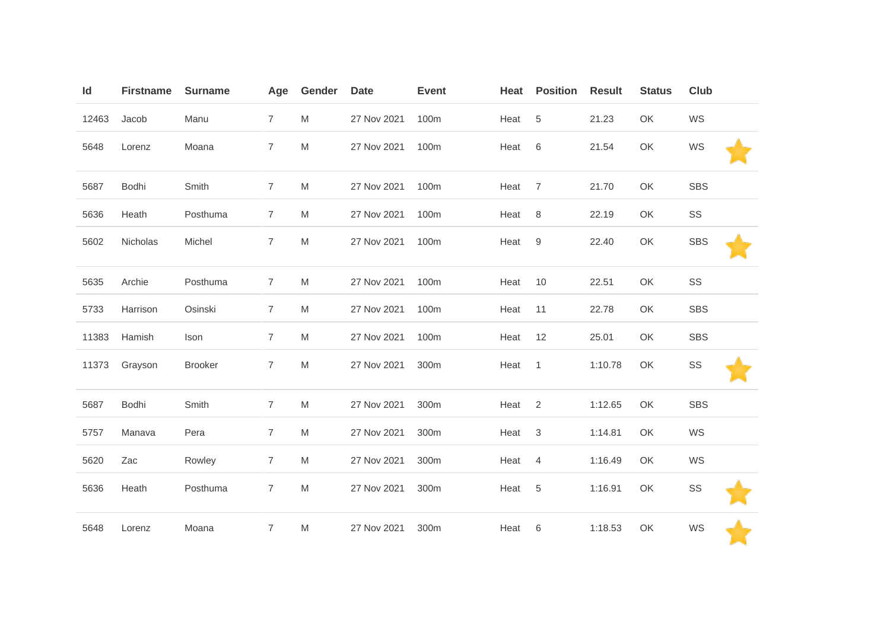| Id    | <b>Firstname</b> | <b>Surname</b> | Age            | Gender | <b>Date</b> | <b>Event</b> | Heat | <b>Position</b> | <b>Result</b> | <b>Status</b> | <b>Club</b> |
|-------|------------------|----------------|----------------|--------|-------------|--------------|------|-----------------|---------------|---------------|-------------|
| 12463 | Jacob            | Manu           | $\overline{7}$ | M      | 27 Nov 2021 | 100m         | Heat | 5               | 21.23         | OK            | WS          |
| 5648  | Lorenz           | Moana          | $\overline{7}$ | M      | 27 Nov 2021 | 100m         | Heat | 6               | 21.54         | OK            | WS          |
| 5687  | Bodhi            | Smith          | $\overline{7}$ | M      | 27 Nov 2021 | 100m         | Heat | $\overline{7}$  | 21.70         | OK            | <b>SBS</b>  |
| 5636  | Heath            | Posthuma       | $\overline{7}$ | M      | 27 Nov 2021 | 100m         | Heat | 8               | 22.19         | OK            | SS          |
| 5602  | Nicholas         | Michel         | $\overline{7}$ | M      | 27 Nov 2021 | 100m         | Heat | $9\,$           | 22.40         | OK            | <b>SBS</b>  |
| 5635  | Archie           | Posthuma       | $\overline{7}$ | M      | 27 Nov 2021 | 100m         | Heat | 10              | 22.51         | OK            | SS          |
| 5733  | Harrison         | Osinski        | $\overline{7}$ | M      | 27 Nov 2021 | 100m         | Heat | 11              | 22.78         | OK            | <b>SBS</b>  |
| 11383 | Hamish           | Ison           | $\overline{7}$ | M      | 27 Nov 2021 | 100m         | Heat | 12              | 25.01         | OK            | SBS         |
| 11373 | Grayson          | <b>Brooker</b> | $\overline{7}$ | M      | 27 Nov 2021 | 300m         | Heat | $\overline{1}$  | 1:10.78       | OK            | SS          |
| 5687  | Bodhi            | Smith          | $\overline{7}$ | M      | 27 Nov 2021 | 300m         | Heat | $\overline{2}$  | 1:12.65       | OK            | SBS         |
| 5757  | Manava           | Pera           | $\overline{7}$ | M      | 27 Nov 2021 | 300m         | Heat | 3               | 1:14.81       | OK            | WS          |
| 5620  | Zac              | Rowley         | $\overline{7}$ | M      | 27 Nov 2021 | 300m         | Heat | 4               | 1:16.49       | OK            | WS          |
| 5636  | Heath            | Posthuma       | $\overline{7}$ | M      | 27 Nov 2021 | 300m         | Heat | $\,$ 5 $\,$     | 1:16.91       | OK            | SS          |
| 5648  | Lorenz           | Moana          | $\overline{7}$ | M      | 27 Nov 2021 | 300m         | Heat | 6               | 1:18.53       | OK            | WS          |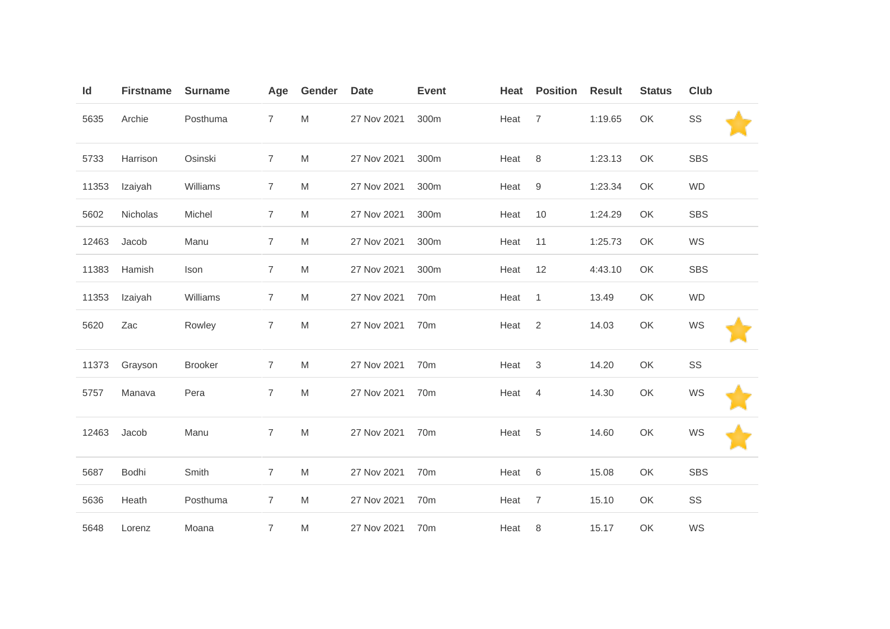| Id    | <b>Firstname</b> | <b>Surname</b> | Age            | Gender    | <b>Date</b> | <b>Event</b>    | Heat | <b>Position</b> | <b>Result</b> | <b>Status</b> | Club       |
|-------|------------------|----------------|----------------|-----------|-------------|-----------------|------|-----------------|---------------|---------------|------------|
| 5635  | Archie           | Posthuma       | $\overline{7}$ | ${\sf M}$ | 27 Nov 2021 | 300m            | Heat | $\overline{7}$  | 1:19.65       | OK            | SS         |
| 5733  | Harrison         | Osinski        | $\overline{7}$ | M         | 27 Nov 2021 | 300m            | Heat | $\,8\,$         | 1:23.13       | OK            | <b>SBS</b> |
| 11353 | Izaiyah          | Williams       | $\overline{7}$ | M         | 27 Nov 2021 | 300m            | Heat | 9               | 1:23.34       | OK            | <b>WD</b>  |
| 5602  | Nicholas         | Michel         | $\overline{7}$ | M         | 27 Nov 2021 | 300m            | Heat | 10              | 1:24.29       | OK            | SBS        |
| 12463 | Jacob            | Manu           | $\overline{7}$ | M         | 27 Nov 2021 | 300m            | Heat | 11              | 1:25.73       | OK            | WS         |
| 11383 | Hamish           | Ison           | $\overline{7}$ | M         | 27 Nov 2021 | 300m            | Heat | 12              | 4:43.10       | OK            | <b>SBS</b> |
| 11353 | Izaiyah          | Williams       | $\overline{7}$ | M         | 27 Nov 2021 | 70 <sub>m</sub> | Heat | $\mathbf{1}$    | 13.49         | OK            | <b>WD</b>  |
| 5620  | Zac              | Rowley         | $\overline{7}$ | M         | 27 Nov 2021 | 70 <sub>m</sub> | Heat | 2               | 14.03         | OK            | WS         |
| 11373 | Grayson          | <b>Brooker</b> | $\overline{7}$ | M         | 27 Nov 2021 | 70m             | Heat | 3               | 14.20         | OK            | SS         |
| 5757  | Manava           | Pera           | $\overline{7}$ | M         | 27 Nov 2021 | 70m             | Heat | 4               | 14.30         | OK            | WS         |
| 12463 | Jacob            | Manu           | $\overline{7}$ | M         | 27 Nov 2021 | 70m             | Heat | 5               | 14.60         | OK            | WS         |
| 5687  | Bodhi            | Smith          | $\overline{7}$ | M         | 27 Nov 2021 | 70m             | Heat | 6               | 15.08         | OK            | <b>SBS</b> |
| 5636  | Heath            | Posthuma       | $\overline{7}$ | M         | 27 Nov 2021 | 70 <sub>m</sub> | Heat | $\overline{7}$  | 15.10         | OK            | SS         |
| 5648  | Lorenz           | Moana          | $\overline{7}$ | M         | 27 Nov 2021 | 70m             | Heat | 8               | 15.17         | OK            | WS         |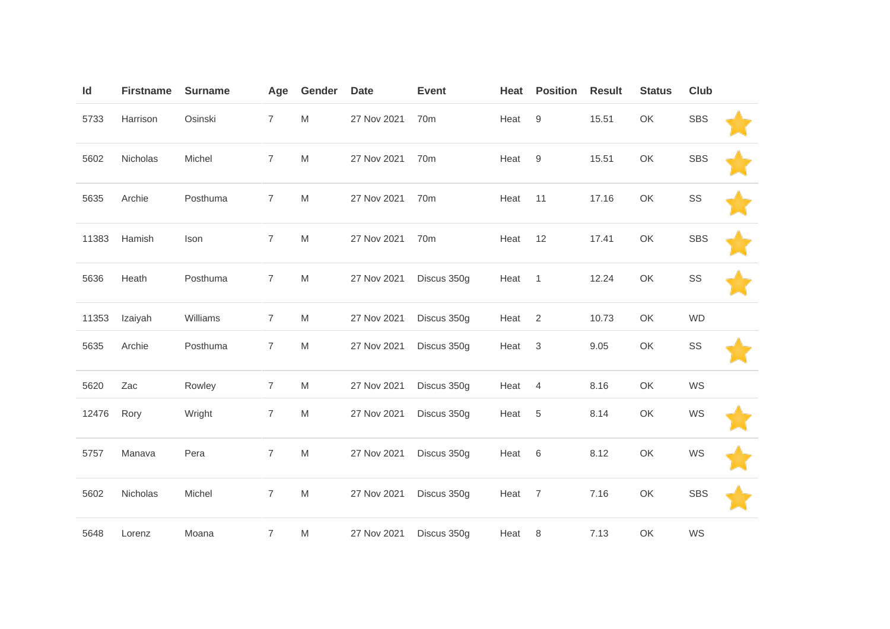| Id    | <b>Firstname</b> | <b>Surname</b> | Age            | Gender    | <b>Date</b> | <b>Event</b>    | Heat   | <b>Position</b> | <b>Result</b> | <b>Status</b> | <b>Club</b> |  |
|-------|------------------|----------------|----------------|-----------|-------------|-----------------|--------|-----------------|---------------|---------------|-------------|--|
| 5733  | Harrison         | Osinski        | $\overline{7}$ | M         | 27 Nov 2021 | 70 <sub>m</sub> | Heat   | 9               | 15.51         | OK            | <b>SBS</b>  |  |
| 5602  | Nicholas         | Michel         | $\overline{7}$ | ${\sf M}$ | 27 Nov 2021 | 70 <sub>m</sub> | Heat   | 9               | 15.51         | OK            | <b>SBS</b>  |  |
| 5635  | Archie           | Posthuma       | $\overline{7}$ | M         | 27 Nov 2021 | 70 <sub>m</sub> | Heat   | 11              | 17.16         | OK            | SS          |  |
| 11383 | Hamish           | Ison           | $\overline{7}$ | M         | 27 Nov 2021 | 70 <sub>m</sub> | Heat   | 12              | 17.41         | OK            | <b>SBS</b>  |  |
| 5636  | Heath            | Posthuma       | $\overline{7}$ | ${\sf M}$ | 27 Nov 2021 | Discus 350g     | Heat   | $\overline{1}$  | 12.24         | OK            | SS          |  |
| 11353 | Izaiyah          | Williams       | $\overline{7}$ | M         | 27 Nov 2021 | Discus 350g     | Heat   | 2               | 10.73         | OK            | <b>WD</b>   |  |
| 5635  | Archie           | Posthuma       | $\overline{7}$ | M         | 27 Nov 2021 | Discus 350g     | Heat 3 |                 | 9.05          | OK            | SS          |  |
| 5620  | Zac              | Rowley         | $\overline{7}$ | M         | 27 Nov 2021 | Discus 350g     | Heat   | $\overline{4}$  | 8.16          | OK            | WS          |  |
| 12476 | Rory             | Wright         | $\overline{7}$ | ${\sf M}$ | 27 Nov 2021 | Discus 350g     | Heat   | 5               | 8.14          | OK            | WS          |  |
| 5757  | Manava           | Pera           | $\overline{7}$ | M         | 27 Nov 2021 | Discus 350g     | Heat   | 6               | 8.12          | OK            | WS          |  |
| 5602  | Nicholas         | Michel         | $\overline{7}$ | M         | 27 Nov 2021 | Discus 350g     | Heat 7 |                 | 7.16          | OK            | <b>SBS</b>  |  |
| 5648  | Lorenz           | Moana          | $\overline{7}$ | M         | 27 Nov 2021 | Discus 350g     | Heat   | 8               | 7.13          | OK            | WS          |  |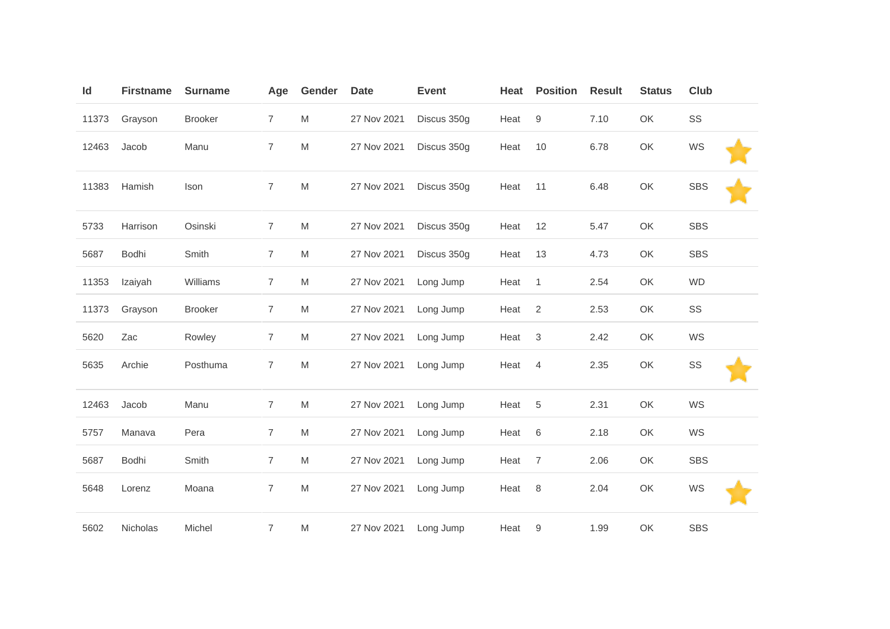| Id    | <b>Firstname</b> | <b>Surname</b> | Age            | Gender    | <b>Date</b> | <b>Event</b> | Heat | <b>Position</b> | <b>Result</b> | <b>Status</b> | Club       |  |
|-------|------------------|----------------|----------------|-----------|-------------|--------------|------|-----------------|---------------|---------------|------------|--|
| 11373 | Grayson          | <b>Brooker</b> | $\overline{7}$ | M         | 27 Nov 2021 | Discus 350g  | Heat | 9               | 7.10          | OK            | SS         |  |
| 12463 | Jacob            | Manu           | $\overline{7}$ | ${\sf M}$ | 27 Nov 2021 | Discus 350g  | Heat | 10              | 6.78          | OK            | WS         |  |
| 11383 | Hamish           | Ison           | $\overline{7}$ | ${\sf M}$ | 27 Nov 2021 | Discus 350g  | Heat | 11              | 6.48          | OK            | <b>SBS</b> |  |
| 5733  | Harrison         | Osinski        | $\overline{7}$ | M         | 27 Nov 2021 | Discus 350g  | Heat | 12              | 5.47          | OK            | <b>SBS</b> |  |
| 5687  | Bodhi            | Smith          | $\overline{7}$ | M         | 27 Nov 2021 | Discus 350g  | Heat | 13              | 4.73          | OK            | <b>SBS</b> |  |
| 11353 | Izaiyah          | Williams       | $\overline{7}$ | M         | 27 Nov 2021 | Long Jump    | Heat | $\overline{1}$  | 2.54          | OK            | <b>WD</b>  |  |
| 11373 | Grayson          | <b>Brooker</b> | $\overline{7}$ | M         | 27 Nov 2021 | Long Jump    | Heat | $\overline{2}$  | 2.53          | OK            | SS         |  |
| 5620  | Zac              | Rowley         | $\overline{7}$ | M         | 27 Nov 2021 | Long Jump    | Heat | 3               | 2.42          | OK            | WS         |  |
| 5635  | Archie           | Posthuma       | $\overline{7}$ | M         | 27 Nov 2021 | Long Jump    | Heat | $\overline{4}$  | 2.35          | OK            | SS         |  |
| 12463 | Jacob            | Manu           | $\overline{7}$ | M         | 27 Nov 2021 | Long Jump    | Heat | 5               | 2.31          | OK            | WS         |  |
| 5757  | Manava           | Pera           | $\overline{7}$ | M         | 27 Nov 2021 | Long Jump    | Heat | 6               | 2.18          | OK            | WS         |  |
| 5687  | Bodhi            | Smith          | $\overline{7}$ | M         | 27 Nov 2021 | Long Jump    | Heat | $\overline{7}$  | 2.06          | OK            | <b>SBS</b> |  |
| 5648  | Lorenz           | Moana          | $\overline{7}$ | M         | 27 Nov 2021 | Long Jump    | Heat | 8               | 2.04          | OK            | WS         |  |
| 5602  | Nicholas         | Michel         | 7              | M         | 27 Nov 2021 | Long Jump    | Heat | 9               | 1.99          | OK            | <b>SBS</b> |  |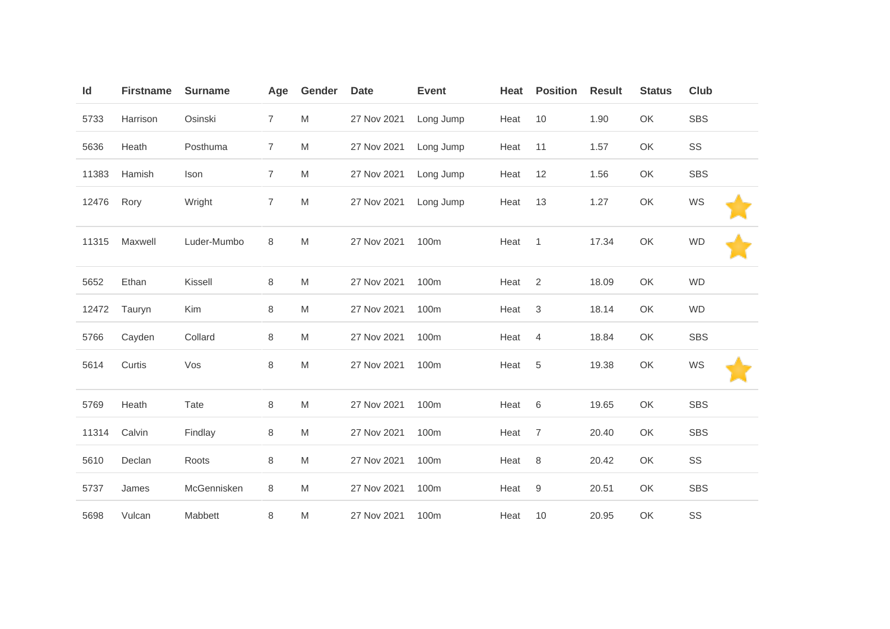| Id    | <b>Firstname</b> | <b>Surname</b> | Age            | Gender | <b>Date</b> | <b>Event</b> | Heat | <b>Position</b> | <b>Result</b> | <b>Status</b> | <b>Club</b> |
|-------|------------------|----------------|----------------|--------|-------------|--------------|------|-----------------|---------------|---------------|-------------|
| 5733  | Harrison         | Osinski        | $\overline{7}$ | M      | 27 Nov 2021 | Long Jump    | Heat | 10              | 1.90          | OK            | <b>SBS</b>  |
| 5636  | Heath            | Posthuma       | $\overline{7}$ | M      | 27 Nov 2021 | Long Jump    | Heat | 11              | 1.57          | OK            | SS          |
| 11383 | Hamish           | Ison           | $\overline{7}$ | M      | 27 Nov 2021 | Long Jump    | Heat | 12              | 1.56          | OK            | <b>SBS</b>  |
| 12476 | Rory             | Wright         | 7              | M      | 27 Nov 2021 | Long Jump    | Heat | 13              | 1.27          | OK            | WS          |
| 11315 | Maxwell          | Luder-Mumbo    | 8              | M      | 27 Nov 2021 | 100m         | Heat | $\overline{1}$  | 17.34         | OK            | <b>WD</b>   |
| 5652  | Ethan            | Kissell        | 8              | M      | 27 Nov 2021 | 100m         | Heat | 2               | 18.09         | OK            | <b>WD</b>   |
| 12472 | Tauryn           | Kim            | 8              | M      | 27 Nov 2021 | 100m         | Heat | 3               | 18.14         | OK            | <b>WD</b>   |
| 5766  | Cayden           | Collard        | 8              | M      | 27 Nov 2021 | 100m         | Heat | $\overline{4}$  | 18.84         | OK            | <b>SBS</b>  |
| 5614  | Curtis           | Vos            | 8              | M      | 27 Nov 2021 | 100m         | Heat | 5               | 19.38         | OK            | WS          |
| 5769  | Heath            | Tate           | 8              | M      | 27 Nov 2021 | 100m         | Heat | 6               | 19.65         | OK            | <b>SBS</b>  |
| 11314 | Calvin           | Findlay        | 8              | M      | 27 Nov 2021 | 100m         | Heat | $\overline{7}$  | 20.40         | OK            | <b>SBS</b>  |
| 5610  | Declan           | Roots          | 8              | M      | 27 Nov 2021 | 100m         | Heat | 8               | 20.42         | OK            | SS          |
| 5737  | James            | McGennisken    | 8              | M      | 27 Nov 2021 | 100m         | Heat | $9$             | 20.51         | OK            | <b>SBS</b>  |
| 5698  | Vulcan           | Mabbett        | 8              | M      | 27 Nov 2021 | 100m         | Heat | 10              | 20.95         | OK            | SS          |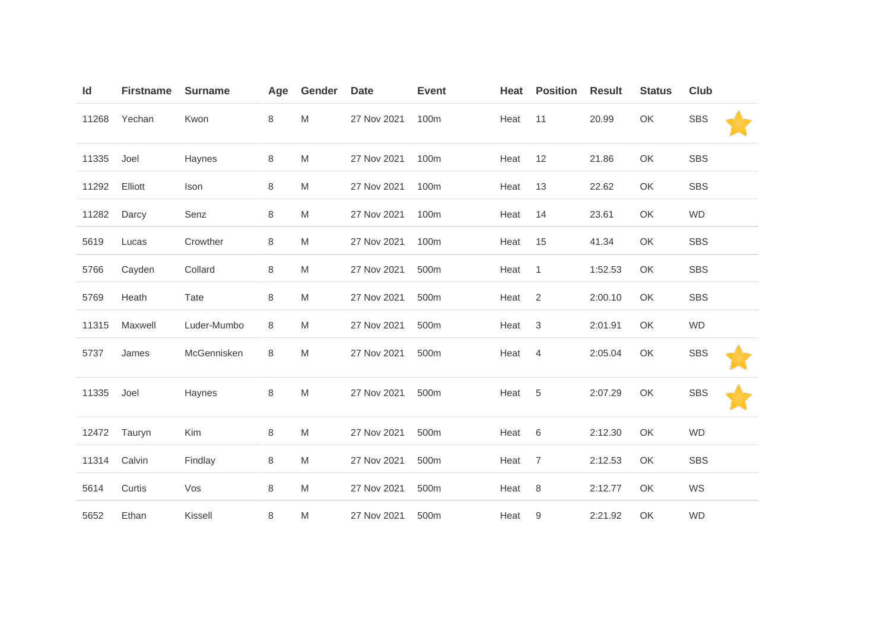| ld    | <b>Firstname</b> | <b>Surname</b> | Age     | Gender    | <b>Date</b> | <b>Event</b> | Heat | <b>Position</b> | <b>Result</b> | <b>Status</b> | <b>Club</b> |
|-------|------------------|----------------|---------|-----------|-------------|--------------|------|-----------------|---------------|---------------|-------------|
| 11268 | Yechan           | Kwon           | 8       | M         | 27 Nov 2021 | 100m         | Heat | 11              | 20.99         | OK            | <b>SBS</b>  |
| 11335 | Joel             | Haynes         | $\,8\,$ | ${\sf M}$ | 27 Nov 2021 | 100m         | Heat | 12              | 21.86         | OK            | <b>SBS</b>  |
| 11292 | Elliott          | Ison           | $\,8\,$ | M         | 27 Nov 2021 | 100m         | Heat | 13              | 22.62         | OK            | <b>SBS</b>  |
| 11282 | Darcy            | Senz           | 8       | M         | 27 Nov 2021 | 100m         | Heat | 14              | 23.61         | OK            | <b>WD</b>   |
| 5619  | Lucas            | Crowther       | 8       | M         | 27 Nov 2021 | 100m         | Heat | 15              | 41.34         | OK            | <b>SBS</b>  |
| 5766  | Cayden           | Collard        | 8       | M         | 27 Nov 2021 | 500m         | Heat | $\overline{1}$  | 1:52.53       | OK            | <b>SBS</b>  |
| 5769  | Heath            | Tate           | 8       | M         | 27 Nov 2021 | 500m         | Heat | 2               | 2:00.10       | OK            | <b>SBS</b>  |
| 11315 | Maxwell          | Luder-Mumbo    | 8       | ${\sf M}$ | 27 Nov 2021 | 500m         | Heat | $\sqrt{3}$      | 2:01.91       | OK            | <b>WD</b>   |
| 5737  | James            | McGennisken    | 8       | M         | 27 Nov 2021 | 500m         | Heat | 4               | 2:05.04       | OK            | <b>SBS</b>  |
| 11335 | Joel             | Haynes         | $\,8\,$ | ${\sf M}$ | 27 Nov 2021 | 500m         | Heat | 5               | 2:07.29       | OK            | <b>SBS</b>  |
| 12472 | Tauryn           | Kim            | 8       | M         | 27 Nov 2021 | 500m         | Heat | 6               | 2:12.30       | OK            | <b>WD</b>   |
| 11314 | Calvin           | Findlay        | 8       | M         | 27 Nov 2021 | 500m         | Heat | $\overline{7}$  | 2:12.53       | OK            | <b>SBS</b>  |
| 5614  | Curtis           | Vos            | 8       | ${\sf M}$ | 27 Nov 2021 | 500m         | Heat | $\,8\,$         | 2:12.77       | OK            | WS          |
| 5652  | Ethan            | Kissell        | 8       | M         | 27 Nov 2021 | 500m         | Heat | 9               | 2:21.92       | OK            | <b>WD</b>   |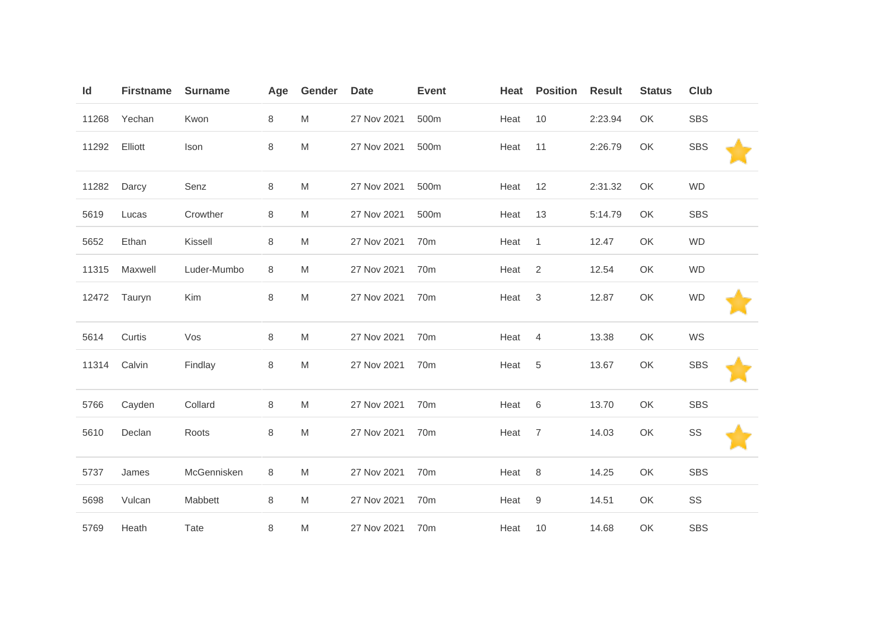| Id    | <b>Firstname</b> | <b>Surname</b> | Age     | Gender    | <b>Date</b> | <b>Event</b>    | Heat | <b>Position</b> | <b>Result</b> | <b>Status</b> | <b>Club</b> |  |
|-------|------------------|----------------|---------|-----------|-------------|-----------------|------|-----------------|---------------|---------------|-------------|--|
| 11268 | Yechan           | Kwon           | 8       | M         | 27 Nov 2021 | 500m            | Heat | 10              | 2:23.94       | OK            | <b>SBS</b>  |  |
| 11292 | Elliott          | Ison           | 8       | ${\sf M}$ | 27 Nov 2021 | 500m            | Heat | 11              | 2:26.79       | OK            | <b>SBS</b>  |  |
| 11282 | Darcy            | Senz           | 8       | M         | 27 Nov 2021 | 500m            | Heat | 12              | 2:31.32       | OK            | <b>WD</b>   |  |
| 5619  | Lucas            | Crowther       | 8       | M         | 27 Nov 2021 | 500m            | Heat | 13              | 5:14.79       | OK            | <b>SBS</b>  |  |
| 5652  | Ethan            | Kissell        | 8       | M         | 27 Nov 2021 | 70 <sub>m</sub> | Heat | $\overline{1}$  | 12.47         | OK            | <b>WD</b>   |  |
| 11315 | Maxwell          | Luder-Mumbo    | 8       | M         | 27 Nov 2021 | 70 <sub>m</sub> | Heat | $\overline{2}$  | 12.54         | OK            | <b>WD</b>   |  |
| 12472 | Tauryn           | Kim            | 8       | M         | 27 Nov 2021 | 70 <sub>m</sub> | Heat | 3               | 12.87         | OK            | <b>WD</b>   |  |
| 5614  | Curtis           | Vos            | 8       | M         | 27 Nov 2021 | 70m             | Heat | 4               | 13.38         | OK            | WS          |  |
| 11314 | Calvin           | Findlay        | $\,8\,$ | ${\sf M}$ | 27 Nov 2021 | 70 <sub>m</sub> | Heat | 5               | 13.67         | OK            | <b>SBS</b>  |  |
| 5766  | Cayden           | Collard        | 8       | M         | 27 Nov 2021 | 70 <sub>m</sub> | Heat | 6               | 13.70         | OK            | <b>SBS</b>  |  |
| 5610  | Declan           | Roots          | 8       | M         | 27 Nov 2021 | 70 <sub>m</sub> | Heat | $\overline{7}$  | 14.03         | OK            | SS          |  |
| 5737  | James            | McGennisken    | 8       | M         | 27 Nov 2021 | 70 <sub>m</sub> | Heat | 8               | 14.25         | OK            | <b>SBS</b>  |  |
| 5698  | Vulcan           | Mabbett        | 8       | M         | 27 Nov 2021 | 70 <sub>m</sub> | Heat | 9               | 14.51         | OK            | SS          |  |
| 5769  | Heath            | Tate           | 8       | M         | 27 Nov 2021 | 70 <sub>m</sub> | Heat | 10              | 14.68         | OK            | <b>SBS</b>  |  |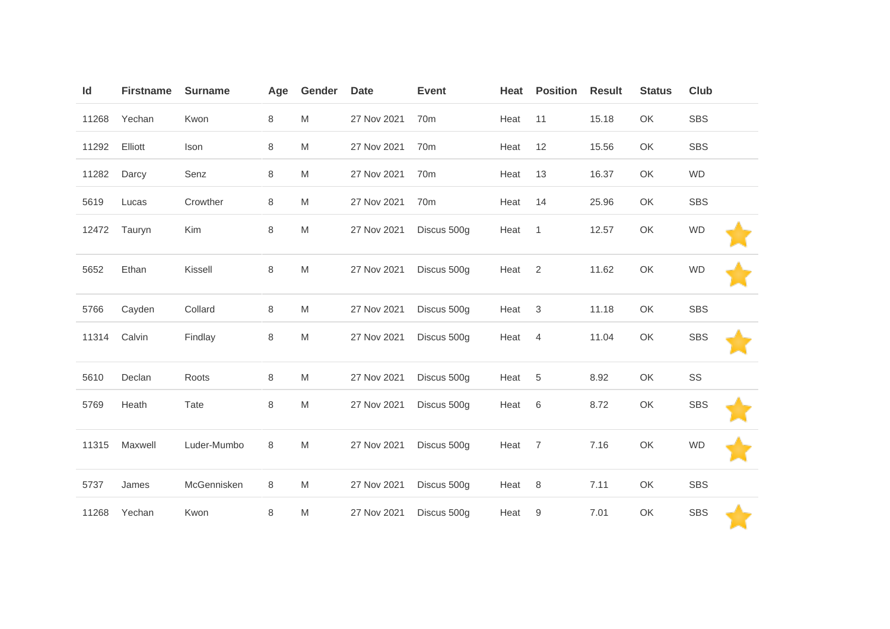| Id    | <b>Firstname</b> | <b>Surname</b> | Age | Gender    | <b>Date</b> | <b>Event</b>    | Heat | <b>Position</b> | <b>Result</b> | <b>Status</b> | Club       |  |
|-------|------------------|----------------|-----|-----------|-------------|-----------------|------|-----------------|---------------|---------------|------------|--|
| 11268 | Yechan           | Kwon           | 8   | M         | 27 Nov 2021 | 70 <sub>m</sub> | Heat | 11              | 15.18         | OK            | <b>SBS</b> |  |
| 11292 | Elliott          | Ison           | 8   | M         | 27 Nov 2021 | 70 <sub>m</sub> | Heat | 12              | 15.56         | OK            | <b>SBS</b> |  |
| 11282 | Darcy            | Senz           | 8   | M         | 27 Nov 2021 | 70 <sub>m</sub> | Heat | 13              | 16.37         | OK            | <b>WD</b>  |  |
| 5619  | Lucas            | Crowther       | 8   | M         | 27 Nov 2021 | 70 <sub>m</sub> | Heat | 14              | 25.96         | OK            | <b>SBS</b> |  |
| 12472 | Tauryn           | Kim            | 8   | M         | 27 Nov 2021 | Discus 500g     | Heat | $\mathbf{1}$    | 12.57         | OK            | <b>WD</b>  |  |
| 5652  | Ethan            | Kissell        | 8   | ${\sf M}$ | 27 Nov 2021 | Discus 500g     | Heat | $\overline{2}$  | 11.62         | OK            | <b>WD</b>  |  |
| 5766  | Cayden           | Collard        | 8   | M         | 27 Nov 2021 | Discus 500g     | Heat | $\mathbf{3}$    | 11.18         | OK            | <b>SBS</b> |  |
| 11314 | Calvin           | Findlay        | 8   | M         | 27 Nov 2021 | Discus 500g     | Heat | $\overline{4}$  | 11.04         | OK            | <b>SBS</b> |  |
| 5610  | Declan           | Roots          | 8   | M         | 27 Nov 2021 | Discus 500g     | Heat | $\sqrt{5}$      | 8.92          | OK            | SS         |  |
| 5769  | Heath            | Tate           | 8   | M         | 27 Nov 2021 | Discus 500g     | Heat | 6               | 8.72          | OK            | <b>SBS</b> |  |
| 11315 | Maxwell          | Luder-Mumbo    | 8   | M         | 27 Nov 2021 | Discus 500g     | Heat | $\overline{7}$  | 7.16          | OK            | <b>WD</b>  |  |
| 5737  | James            | McGennisken    | 8   | M         | 27 Nov 2021 | Discus 500g     | Heat | 8               | 7.11          | OK            | <b>SBS</b> |  |
| 11268 | Yechan           | Kwon           | 8   | M         | 27 Nov 2021 | Discus 500g     | Heat | 9               | 7.01          | OK            | <b>SBS</b> |  |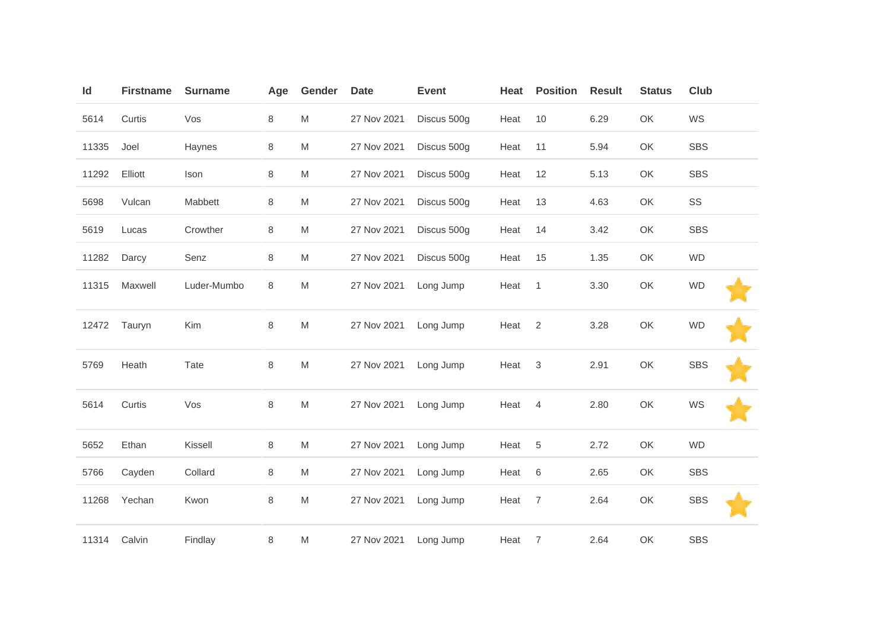| Id    | <b>Firstname</b> | <b>Surname</b> | Age     | Gender | <b>Date</b> | <b>Event</b> | Heat | <b>Position</b> | <b>Result</b> | <b>Status</b> | Club       |
|-------|------------------|----------------|---------|--------|-------------|--------------|------|-----------------|---------------|---------------|------------|
| 5614  | Curtis           | Vos            | 8       | M      | 27 Nov 2021 | Discus 500g  | Heat | 10              | 6.29          | OK            | WS         |
| 11335 | Joel             | Haynes         | 8       | M      | 27 Nov 2021 | Discus 500g  | Heat | 11              | 5.94          | OK            | <b>SBS</b> |
| 11292 | Elliott          | Ison           | 8       | M      | 27 Nov 2021 | Discus 500g  | Heat | 12              | 5.13          | OK            | <b>SBS</b> |
| 5698  | Vulcan           | Mabbett        | 8       | M      | 27 Nov 2021 | Discus 500g  | Heat | 13              | 4.63          | OK            | SS         |
| 5619  | Lucas            | Crowther       | 8       | M      | 27 Nov 2021 | Discus 500g  | Heat | 14              | 3.42          | OK            | <b>SBS</b> |
| 11282 | Darcy            | Senz           | 8       | M      | 27 Nov 2021 | Discus 500g  | Heat | 15              | 1.35          | OK            | <b>WD</b>  |
| 11315 | Maxwell          | Luder-Mumbo    | 8       | M      | 27 Nov 2021 | Long Jump    | Heat | $\overline{1}$  | 3.30          | OK            | <b>WD</b>  |
| 12472 | Tauryn           | Kim            | 8       | M      | 27 Nov 2021 | Long Jump    | Heat | $\overline{2}$  | 3.28          | OK            | <b>WD</b>  |
| 5769  | Heath            | Tate           | 8       | M      | 27 Nov 2021 | Long Jump    | Heat | 3               | 2.91          | OK            | <b>SBS</b> |
| 5614  | Curtis           | Vos            | $\,8\,$ | M      | 27 Nov 2021 | Long Jump    | Heat | $\overline{4}$  | 2.80          | OK            | WS         |
| 5652  | Ethan            | Kissell        | 8       | M      | 27 Nov 2021 | Long Jump    | Heat | 5               | 2.72          | OK            | <b>WD</b>  |
| 5766  | Cayden           | Collard        | 8       | M      | 27 Nov 2021 | Long Jump    | Heat | 6               | 2.65          | OK            | <b>SBS</b> |
| 11268 | Yechan           | Kwon           | 8       | M      | 27 Nov 2021 | Long Jump    | Heat | $\overline{7}$  | 2.64          | OK            | <b>SBS</b> |
| 11314 | Calvin           | Findlay        | 8       | M      | 27 Nov 2021 | Long Jump    | Heat | $\overline{7}$  | 2.64          | OK            | <b>SBS</b> |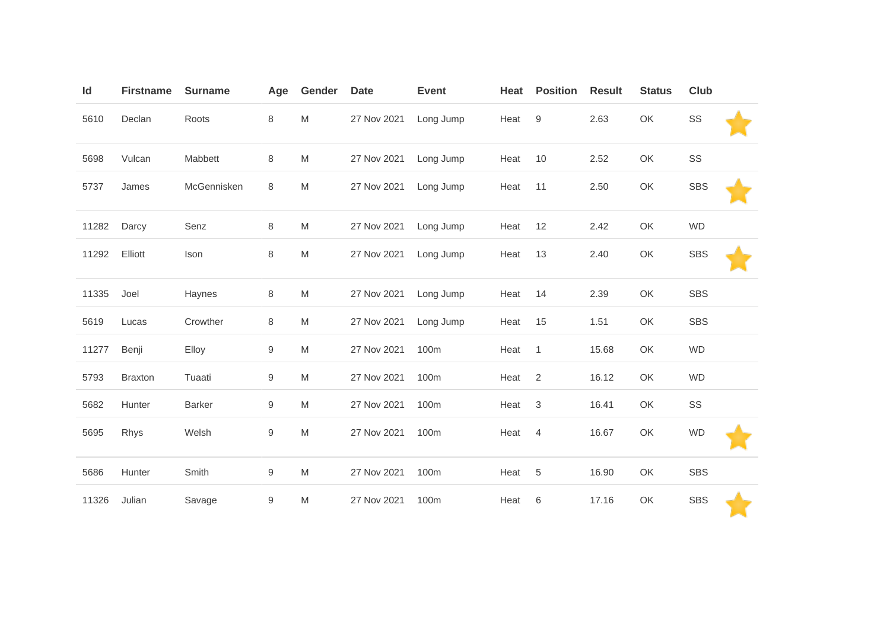| ld    | <b>Firstname</b> | <b>Surname</b> | Age              | Gender    | <b>Date</b> | <b>Event</b> | Heat | <b>Position</b> | <b>Result</b> | <b>Status</b> | <b>Club</b> |  |
|-------|------------------|----------------|------------------|-----------|-------------|--------------|------|-----------------|---------------|---------------|-------------|--|
| 5610  | Declan           | Roots          | 8                | M         | 27 Nov 2021 | Long Jump    | Heat | 9               | 2.63          | OK            | SS          |  |
| 5698  | Vulcan           | Mabbett        | 8                | M         | 27 Nov 2021 | Long Jump    | Heat | 10              | 2.52          | OK            | SS          |  |
| 5737  | James            | McGennisken    | 8                | M         | 27 Nov 2021 | Long Jump    | Heat | 11              | 2.50          | OK            | <b>SBS</b>  |  |
| 11282 | Darcy            | Senz           | 8                | M         | 27 Nov 2021 | Long Jump    | Heat | 12              | 2.42          | OK            | <b>WD</b>   |  |
| 11292 | Elliott          | Ison           | 8                | ${\sf M}$ | 27 Nov 2021 | Long Jump    | Heat | 13              | 2.40          | OK            | <b>SBS</b>  |  |
| 11335 | Joel             | Haynes         | 8                | ${\sf M}$ | 27 Nov 2021 | Long Jump    | Heat | 14              | 2.39          | OK            | <b>SBS</b>  |  |
| 5619  | Lucas            | Crowther       | 8                | M         | 27 Nov 2021 | Long Jump    | Heat | 15              | 1.51          | OK            | <b>SBS</b>  |  |
| 11277 | Benji            | Elloy          | 9                | M         | 27 Nov 2021 | 100m         | Heat | $\overline{1}$  | 15.68         | OK            | <b>WD</b>   |  |
| 5793  | <b>Braxton</b>   | Tuaati         | $\boldsymbol{9}$ | M         | 27 Nov 2021 | 100m         | Heat | 2               | 16.12         | OK            | <b>WD</b>   |  |
| 5682  | Hunter           | <b>Barker</b>  | 9                | M         | 27 Nov 2021 | 100m         | Heat | $\mathfrak{B}$  | 16.41         | OK            | SS          |  |
| 5695  | Rhys             | Welsh          | 9                | M         | 27 Nov 2021 | 100m         | Heat | $\overline{4}$  | 16.67         | OK            | <b>WD</b>   |  |
| 5686  | Hunter           | Smith          | 9                | M         | 27 Nov 2021 | 100m         | Heat | 5               | 16.90         | OK            | <b>SBS</b>  |  |
| 11326 | Julian           | Savage         | 9                | M         | 27 Nov 2021 | 100m         | Heat | 6               | 17.16         | OK            | <b>SBS</b>  |  |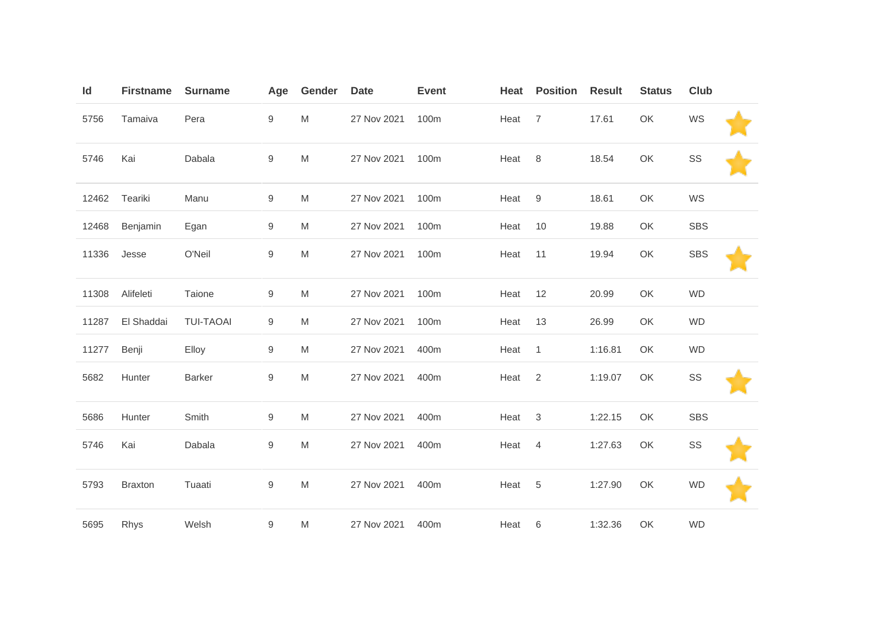| Id    | <b>Firstname</b> | <b>Surname</b>   | Age              | Gender    | <b>Date</b> | <b>Event</b> | Heat | <b>Position</b> | <b>Result</b> | <b>Status</b> | <b>Club</b> |  |
|-------|------------------|------------------|------------------|-----------|-------------|--------------|------|-----------------|---------------|---------------|-------------|--|
| 5756  | Tamaiva          | Pera             | 9                | ${\sf M}$ | 27 Nov 2021 | 100m         | Heat | $\overline{7}$  | 17.61         | OK            | WS          |  |
| 5746  | Kai              | Dabala           | $\boldsymbol{9}$ | M         | 27 Nov 2021 | 100m         | Heat | 8               | 18.54         | OK            | SS          |  |
| 12462 | Teariki          | Manu             | 9                | M         | 27 Nov 2021 | 100m         | Heat | 9               | 18.61         | OK            | WS          |  |
| 12468 | Benjamin         | Egan             | 9                | M         | 27 Nov 2021 | 100m         | Heat | 10              | 19.88         | OK            | <b>SBS</b>  |  |
| 11336 | Jesse            | O'Neil           | 9                | ${\sf M}$ | 27 Nov 2021 | 100m         | Heat | 11              | 19.94         | OK            | <b>SBS</b>  |  |
| 11308 | Alifeleti        | Taione           | 9                | ${\sf M}$ | 27 Nov 2021 | 100m         | Heat | 12              | 20.99         | OK            | <b>WD</b>   |  |
| 11287 | El Shaddai       | <b>TUI-TAOAI</b> | 9                | M         | 27 Nov 2021 | 100m         | Heat | 13              | 26.99         | OK            | <b>WD</b>   |  |
| 11277 | Benji            | Elloy            | 9                | M         | 27 Nov 2021 | 400m         | Heat | $\overline{1}$  | 1:16.81       | OK            | <b>WD</b>   |  |
| 5682  | Hunter           | <b>Barker</b>    | $\boldsymbol{9}$ | M         | 27 Nov 2021 | 400m         | Heat | $\overline{2}$  | 1:19.07       | OK            | SS          |  |
| 5686  | Hunter           | Smith            | 9                | M         | 27 Nov 2021 | 400m         | Heat | 3               | 1:22.15       | OK            | SBS         |  |
| 5746  | Kai              | Dabala           | 9                | M         | 27 Nov 2021 | 400m         | Heat | 4               | 1:27.63       | OK            | SS          |  |
| 5793  | <b>Braxton</b>   | Tuaati           | 9                | M         | 27 Nov 2021 | 400m         | Heat | 5               | 1:27.90       | OK            | <b>WD</b>   |  |
| 5695  | Rhys             | Welsh            | 9                | M         | 27 Nov 2021 | 400m         | Heat | 6               | 1:32.36       | OK            | <b>WD</b>   |  |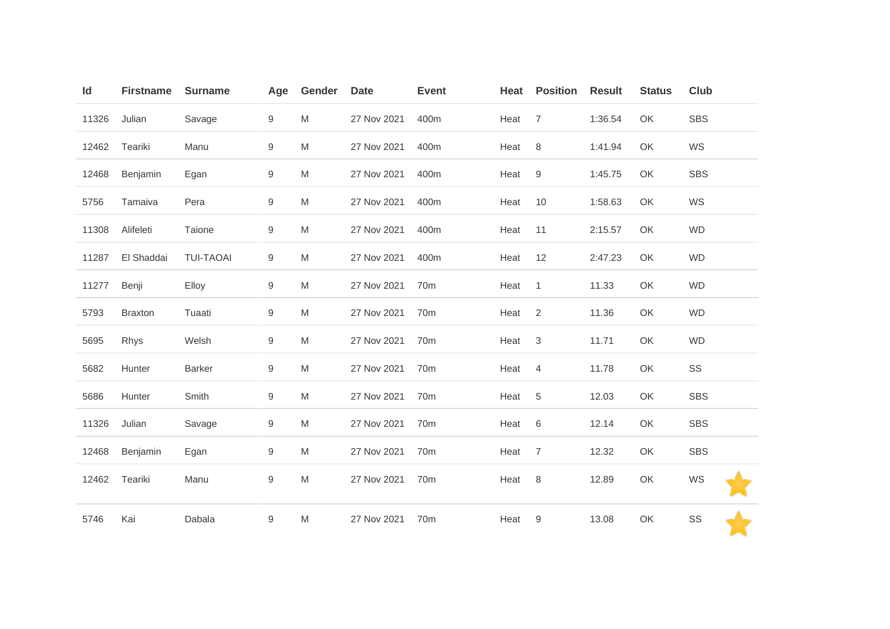| Id    | <b>Firstname</b> | <b>Surname</b>   | Age              | Gender | <b>Date</b> | <b>Event</b>    | Heat | <b>Position</b>  | <b>Result</b> | <b>Status</b> | Club       |
|-------|------------------|------------------|------------------|--------|-------------|-----------------|------|------------------|---------------|---------------|------------|
| 11326 | Julian           | Savage           | 9                | M      | 27 Nov 2021 | 400m            | Heat | $\overline{7}$   | 1:36.54       | OK            | <b>SBS</b> |
| 12462 | Teariki          | Manu             | 9                | M      | 27 Nov 2021 | 400m            | Heat | 8                | 1:41.94       | OK            | WS         |
| 12468 | Benjamin         | Egan             | $\boldsymbol{9}$ | M      | 27 Nov 2021 | 400m            | Heat | $\boldsymbol{9}$ | 1:45.75       | OK            | <b>SBS</b> |
| 5756  | Tamaiva          | Pera             | 9                | M      | 27 Nov 2021 | 400m            | Heat | 10               | 1:58.63       | OK            | WS         |
| 11308 | Alifeleti        | Taione           | 9                | M      | 27 Nov 2021 | 400m            | Heat | 11               | 2:15.57       | OK            | <b>WD</b>  |
| 11287 | El Shaddai       | <b>TUI-TAOAI</b> | 9                | M      | 27 Nov 2021 | 400m            | Heat | 12               | 2:47.23       | OK            | <b>WD</b>  |
| 11277 | Benji            | Elloy            | $\boldsymbol{9}$ | M      | 27 Nov 2021 | 70 <sub>m</sub> | Heat | $\mathbf{1}$     | 11.33         | OK            | <b>WD</b>  |
| 5793  | <b>Braxton</b>   | Tuaati           | 9                | M      | 27 Nov 2021 | 70 <sub>m</sub> | Heat | 2                | 11.36         | OK            | <b>WD</b>  |
| 5695  | Rhys             | Welsh            | 9                | M      | 27 Nov 2021 | 70 <sub>m</sub> | Heat | $\sqrt{3}$       | 11.71         | OK            | <b>WD</b>  |
| 5682  | Hunter           | <b>Barker</b>    | 9                | M      | 27 Nov 2021 | 70 <sub>m</sub> | Heat | $\overline{4}$   | 11.78         | OK            | SS         |
| 5686  | Hunter           | Smith            | 9                | M      | 27 Nov 2021 | 70 <sub>m</sub> | Heat | $\sqrt{5}$       | 12.03         | OK            | <b>SBS</b> |
| 11326 | Julian           | Savage           | 9                | M      | 27 Nov 2021 | 70 <sub>m</sub> | Heat | 6                | 12.14         | OK            | <b>SBS</b> |
| 12468 | Benjamin         | Egan             | 9                | M      | 27 Nov 2021 | 70 <sub>m</sub> | Heat | $\overline{7}$   | 12.32         | OK            | <b>SBS</b> |
| 12462 | Teariki          | Manu             | 9                | M      | 27 Nov 2021 | 70 <sub>m</sub> | Heat | 8                | 12.89         | OK            | WS         |
| 5746  | Kai              | Dabala           | $\boldsymbol{9}$ | M      | 27 Nov 2021 | 70 <sub>m</sub> | Heat | 9                | 13.08         | OK            | SS         |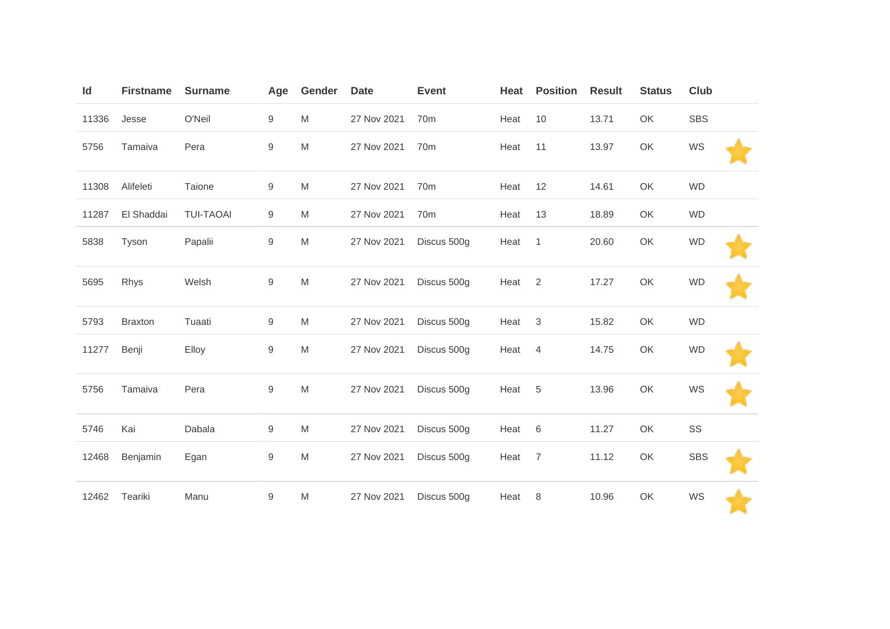| Id    | <b>Firstname</b> | <b>Surname</b>   | Age              | Gender    | <b>Date</b> | <b>Event</b>    | Heat | <b>Position</b> | <b>Result</b> | <b>Status</b> | Club       |  |
|-------|------------------|------------------|------------------|-----------|-------------|-----------------|------|-----------------|---------------|---------------|------------|--|
| 11336 | Jesse            | O'Neil           | 9                | M         | 27 Nov 2021 | 70 <sub>m</sub> | Heat | 10              | 13.71         | OK            | <b>SBS</b> |  |
| 5756  | Tamaiva          | Pera             | 9                | ${\sf M}$ | 27 Nov 2021 | 70 <sub>m</sub> | Heat | 11              | 13.97         | OK            | WS         |  |
| 11308 | Alifeleti        | Taione           | 9                | M         | 27 Nov 2021 | 70 <sub>m</sub> | Heat | 12              | 14.61         | OK            | <b>WD</b>  |  |
| 11287 | El Shaddai       | <b>TUI-TAOAI</b> | 9                | M         | 27 Nov 2021 | 70 <sub>m</sub> | Heat | 13              | 18.89         | OK            | <b>WD</b>  |  |
| 5838  | Tyson            | Papalii          | 9                | M         | 27 Nov 2021 | Discus 500g     | Heat | $\mathbf{1}$    | 20.60         | OK            | <b>WD</b>  |  |
| 5695  | Rhys             | Welsh            | $\boldsymbol{9}$ | M         | 27 Nov 2021 | Discus 500g     | Heat | 2               | 17.27         | OK            | <b>WD</b>  |  |
| 5793  | <b>Braxton</b>   | Tuaati           | $\boldsymbol{9}$ | M         | 27 Nov 2021 | Discus 500g     | Heat | 3               | 15.82         | OK            | <b>WD</b>  |  |
| 11277 | Benji            | Elloy            | 9                | M         | 27 Nov 2021 | Discus 500g     | Heat | 4               | 14.75         | OK            | <b>WD</b>  |  |
| 5756  | Tamaiva          | Pera             | 9                | M         | 27 Nov 2021 | Discus 500g     | Heat | 5               | 13.96         | OK            | WS         |  |
| 5746  | Kai              | Dabala           | 9                | M         | 27 Nov 2021 | Discus 500g     | Heat | 6               | 11.27         | OK            | SS         |  |
| 12468 | Benjamin         | Egan             | $\boldsymbol{9}$ | ${\sf M}$ | 27 Nov 2021 | Discus 500g     | Heat | $\overline{7}$  | 11.12         | OK            | <b>SBS</b> |  |
| 12462 | Teariki          | Manu             | $\boldsymbol{9}$ | M         | 27 Nov 2021 | Discus 500g     | Heat | 8               | 10.96         | OK            | WS         |  |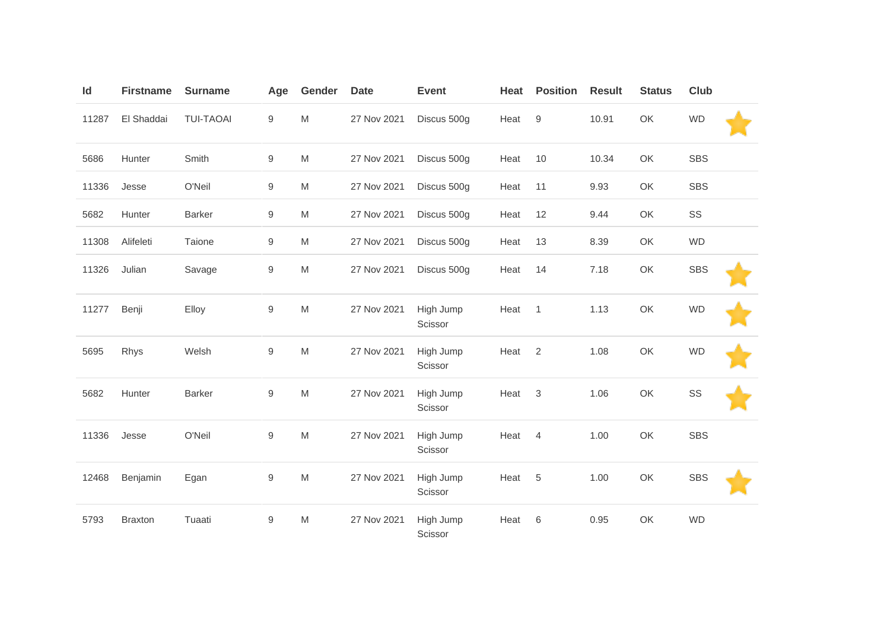| Id    | <b>Firstname</b> | <b>Surname</b>   | Age              | Gender | <b>Date</b> | <b>Event</b>         | Heat | <b>Position</b> | <b>Result</b> | <b>Status</b> | Club       |  |
|-------|------------------|------------------|------------------|--------|-------------|----------------------|------|-----------------|---------------|---------------|------------|--|
| 11287 | El Shaddai       | <b>TUI-TAOAI</b> | $\boldsymbol{9}$ | M      | 27 Nov 2021 | Discus 500g          | Heat | 9               | 10.91         | OK            | <b>WD</b>  |  |
| 5686  | Hunter           | Smith            | 9                | M      | 27 Nov 2021 | Discus 500g          | Heat | 10              | 10.34         | OK            | <b>SBS</b> |  |
| 11336 | Jesse            | O'Neil           | 9                | M      | 27 Nov 2021 | Discus 500g          | Heat | 11              | 9.93          | OK            | <b>SBS</b> |  |
| 5682  | Hunter           | <b>Barker</b>    | 9                | M      | 27 Nov 2021 | Discus 500g          | Heat | 12              | 9.44          | OK            | SS         |  |
| 11308 | Alifeleti        | Taione           | $\boldsymbol{9}$ | M      | 27 Nov 2021 | Discus 500g          | Heat | 13              | 8.39          | OK            | <b>WD</b>  |  |
| 11326 | Julian           | Savage           | $\boldsymbol{9}$ | M      | 27 Nov 2021 | Discus 500g          | Heat | 14              | 7.18          | OK            | <b>SBS</b> |  |
| 11277 | Benji            | Elloy            | $\hbox{9}$       | M      | 27 Nov 2021 | High Jump<br>Scissor | Heat | $\overline{1}$  | 1.13          | OK            | <b>WD</b>  |  |
| 5695  | Rhys             | Welsh            | $\hbox{9}$       | M      | 27 Nov 2021 | High Jump<br>Scissor | Heat | 2               | 1.08          | OK            | <b>WD</b>  |  |
| 5682  | Hunter           | <b>Barker</b>    | $\mathsf g$      | M      | 27 Nov 2021 | High Jump<br>Scissor | Heat | 3               | 1.06          | OK            | SS         |  |
| 11336 | Jesse            | O'Neil           | $\hbox{9}$       | M      | 27 Nov 2021 | High Jump<br>Scissor | Heat | 4               | 1.00          | OK            | <b>SBS</b> |  |
| 12468 | Benjamin         | Egan             | $\mathsf g$      | M      | 27 Nov 2021 | High Jump<br>Scissor | Heat | 5               | 1.00          | OK            | <b>SBS</b> |  |
| 5793  | <b>Braxton</b>   | Tuaati           | $\boldsymbol{9}$ | M      | 27 Nov 2021 | High Jump<br>Scissor | Heat | 6               | 0.95          | OK            | <b>WD</b>  |  |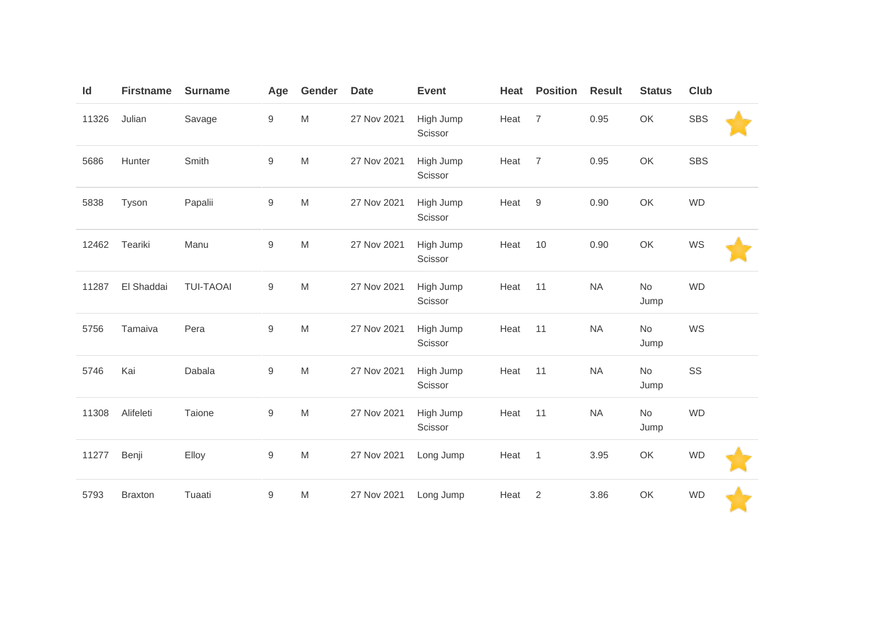| Id    | <b>Firstname</b> | <b>Surname</b>   | Age              | Gender                                                                                | <b>Date</b> | <b>Event</b>         | Heat | <b>Position</b> | <b>Result</b> | <b>Status</b>     | <b>Club</b> |  |
|-------|------------------|------------------|------------------|---------------------------------------------------------------------------------------|-------------|----------------------|------|-----------------|---------------|-------------------|-------------|--|
| 11326 | Julian           | Savage           | 9                | $\mathsf{M}% _{T}=\mathsf{M}_{T}\!\left( a,b\right) ,\ \mathsf{M}_{T}=\mathsf{M}_{T}$ | 27 Nov 2021 | High Jump<br>Scissor | Heat | $\overline{7}$  | 0.95          | OK                | <b>SBS</b>  |  |
| 5686  | Hunter           | Smith            | 9                | $\mathsf{M}% _{T}=\mathsf{M}_{T}\!\left( a,b\right) ,\ \mathsf{M}_{T}=\mathsf{M}_{T}$ | 27 Nov 2021 | High Jump<br>Scissor | Heat | $\overline{7}$  | 0.95          | OK                | <b>SBS</b>  |  |
| 5838  | Tyson            | Papalii          | $\mathsf g$      | $\mathsf{M}% _{T}=\mathsf{M}_{T}\!\left( a,b\right) ,\ \mathsf{M}_{T}=\mathsf{M}_{T}$ | 27 Nov 2021 | High Jump<br>Scissor | Heat | 9               | 0.90          | OK                | <b>WD</b>   |  |
| 12462 | Teariki          | Manu             | $\boldsymbol{9}$ | $\mathsf{M}% _{T}=\mathsf{M}_{T}\!\left( a,b\right) ,\ \mathsf{M}_{T}=\mathsf{M}_{T}$ | 27 Nov 2021 | High Jump<br>Scissor | Heat | 10              | 0.90          | OK                | WS          |  |
| 11287 | El Shaddai       | <b>TUI-TAOAI</b> | 9                | M                                                                                     | 27 Nov 2021 | High Jump<br>Scissor | Heat | 11              | <b>NA</b>     | <b>No</b><br>Jump | <b>WD</b>   |  |
| 5756  | Tamaiva          | Pera             | $\hbox{9}$       | $\mathsf{M}% _{T}=\mathsf{M}_{T}\!\left( a,b\right) ,\ \mathsf{M}_{T}=\mathsf{M}_{T}$ | 27 Nov 2021 | High Jump<br>Scissor | Heat | 11              | <b>NA</b>     | <b>No</b><br>Jump | WS          |  |
| 5746  | Kai              | Dabala           | $\hbox{9}$       | ${\sf M}$                                                                             | 27 Nov 2021 | High Jump<br>Scissor | Heat | 11              | <b>NA</b>     | No<br>Jump        | SS          |  |
| 11308 | Alifeleti        | Taione           | 9                | M                                                                                     | 27 Nov 2021 | High Jump<br>Scissor | Heat | 11              | <b>NA</b>     | <b>No</b><br>Jump | <b>WD</b>   |  |
| 11277 | Benji            | Elloy            | $\hbox{9}$       | $\mathsf{M}% _{T}=\mathsf{M}_{T}\!\left( a,b\right) ,\ \mathsf{M}_{T}=\mathsf{M}_{T}$ | 27 Nov 2021 | Long Jump            | Heat | $\overline{1}$  | 3.95          | OK                | <b>WD</b>   |  |
| 5793  | <b>Braxton</b>   | Tuaati           | 9                | M                                                                                     | 27 Nov 2021 | Long Jump            | Heat | 2               | 3.86          | OK                | <b>WD</b>   |  |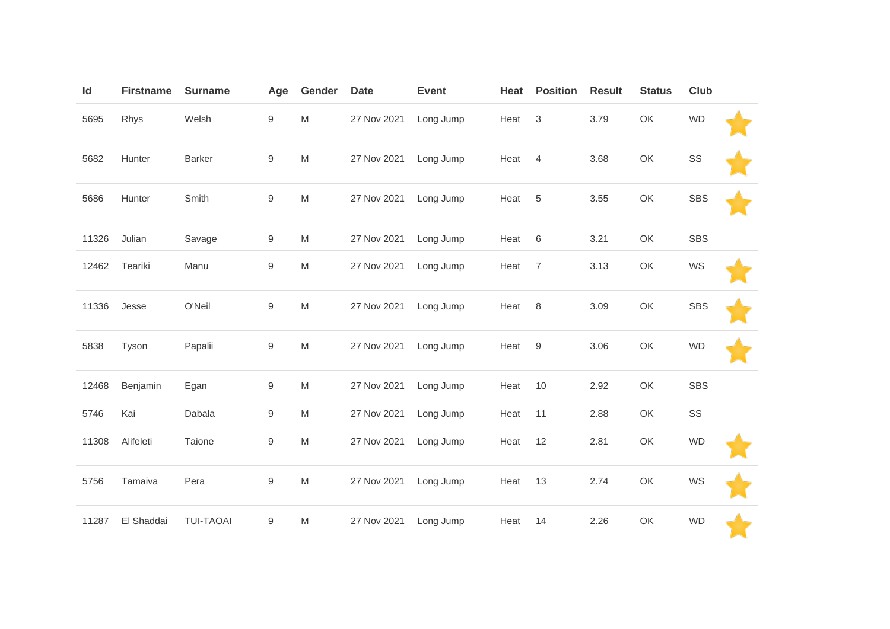| Id    | <b>Firstname</b> | <b>Surname</b>   | Age              | Gender | <b>Date</b> | <b>Event</b> | Heat | <b>Position</b>           | <b>Result</b> | <b>Status</b> | <b>Club</b> |  |
|-------|------------------|------------------|------------------|--------|-------------|--------------|------|---------------------------|---------------|---------------|-------------|--|
| 5695  | Rhys             | Welsh            | $\mathsf g$      | M      | 27 Nov 2021 | Long Jump    | Heat | $\ensuremath{\mathsf{3}}$ | 3.79          | OK            | <b>WD</b>   |  |
| 5682  | Hunter           | <b>Barker</b>    | $\boldsymbol{9}$ | M      | 27 Nov 2021 | Long Jump    | Heat | $\overline{4}$            | 3.68          | OK            | SS          |  |
| 5686  | Hunter           | Smith            | 9                | M      | 27 Nov 2021 | Long Jump    | Heat | 5                         | 3.55          | OK            | <b>SBS</b>  |  |
| 11326 | Julian           | Savage           | 9                | M      | 27 Nov 2021 | Long Jump    | Heat | 6                         | 3.21          | OK            | <b>SBS</b>  |  |
| 12462 | Teariki          | Manu             | $\boldsymbol{9}$ | M      | 27 Nov 2021 | Long Jump    | Heat | $\overline{7}$            | 3.13          | OK            | WS          |  |
| 11336 | Jesse            | O'Neil           | $\mathsf g$      | M      | 27 Nov 2021 | Long Jump    | Heat | 8                         | 3.09          | OK            | <b>SBS</b>  |  |
| 5838  | Tyson            | Papalii          | 9                | M      | 27 Nov 2021 | Long Jump    | Heat | 9                         | 3.06          | OK            | <b>WD</b>   |  |
| 12468 | Benjamin         | Egan             | $9\,$            | M      | 27 Nov 2021 | Long Jump    | Heat | $10$                      | 2.92          | OK            | <b>SBS</b>  |  |
| 5746  | Kai              | Dabala           | 9                | M      | 27 Nov 2021 | Long Jump    | Heat | 11                        | 2.88          | OK            | SS          |  |
| 11308 | Alifeleti        | Taione           | $\mathsf g$      | M      | 27 Nov 2021 | Long Jump    | Heat | 12                        | 2.81          | OK            | <b>WD</b>   |  |
| 5756  | Tamaiva          | Pera             | 9                | M      | 27 Nov 2021 | Long Jump    | Heat | 13                        | 2.74          | OK            | WS          |  |
| 11287 | El Shaddai       | <b>TUI-TAOAI</b> | $\boldsymbol{9}$ | M      | 27 Nov 2021 | Long Jump    | Heat | 14                        | 2.26          | OK            | <b>WD</b>   |  |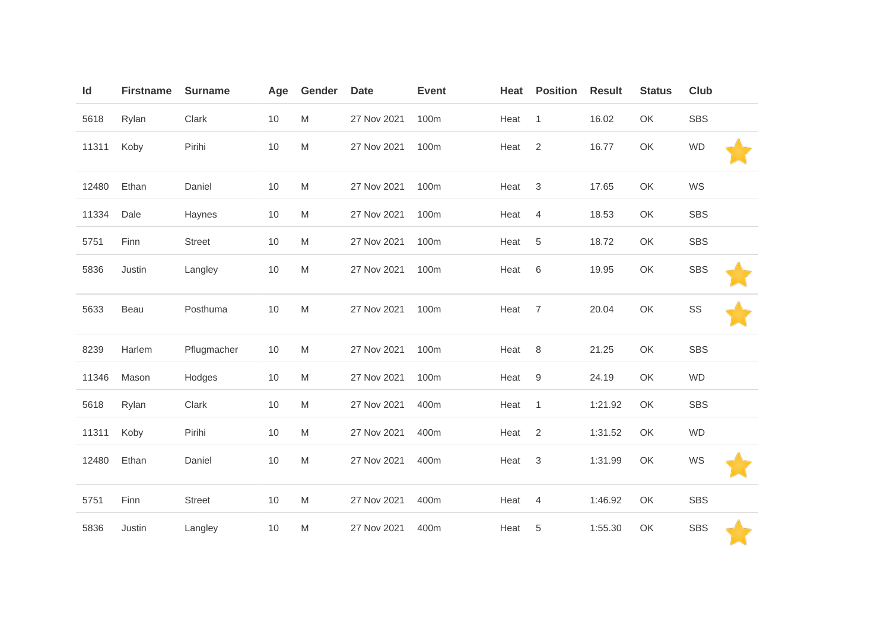| Id    | <b>Firstname</b> | <b>Surname</b> | Age  | Gender | <b>Date</b> | <b>Event</b> | Heat | <b>Position</b>           | <b>Result</b> | <b>Status</b> | Club       |  |
|-------|------------------|----------------|------|--------|-------------|--------------|------|---------------------------|---------------|---------------|------------|--|
| 5618  | Rylan            | Clark          | $10$ | M      | 27 Nov 2021 | 100m         | Heat | $\overline{1}$            | 16.02         | OK            | <b>SBS</b> |  |
| 11311 | Koby             | Pirihi         | 10   | M      | 27 Nov 2021 | 100m         | Heat | 2                         | 16.77         | OK            | <b>WD</b>  |  |
| 12480 | Ethan            | Daniel         | 10   | M      | 27 Nov 2021 | 100m         | Heat | $\sqrt{3}$                | 17.65         | OK            | WS         |  |
| 11334 | Dale             | Haynes         | 10   | M      | 27 Nov 2021 | 100m         | Heat | 4                         | 18.53         | OK            | <b>SBS</b> |  |
| 5751  | Finn             | <b>Street</b>  | 10   | M      | 27 Nov 2021 | 100m         | Heat | 5                         | 18.72         | OK            | <b>SBS</b> |  |
| 5836  | Justin           | Langley        | $10$ | M      | 27 Nov 2021 | 100m         | Heat | $\,6$                     | 19.95         | OK            | <b>SBS</b> |  |
| 5633  | Beau             | Posthuma       | 10   | M      | 27 Nov 2021 | 100m         | Heat | $\overline{7}$            | 20.04         | OK            | SS         |  |
| 8239  | Harlem           | Pflugmacher    | 10   | M      | 27 Nov 2021 | 100m         | Heat | 8                         | 21.25         | OK            | <b>SBS</b> |  |
| 11346 | Mason            | Hodges         | $10$ | M      | 27 Nov 2021 | 100m         | Heat | $\boldsymbol{9}$          | 24.19         | OK            | WD         |  |
| 5618  | Rylan            | Clark          | 10   | M      | 27 Nov 2021 | 400m         | Heat | $\mathbf{1}$              | 1:21.92       | OK            | <b>SBS</b> |  |
| 11311 | Koby             | Pirihi         | 10   | M      | 27 Nov 2021 | 400m         | Heat | $\overline{2}$            | 1:31.52       | OK            | <b>WD</b>  |  |
| 12480 | Ethan            | Daniel         | $10$ | M      | 27 Nov 2021 | 400m         | Heat | $\ensuremath{\mathsf{3}}$ | 1:31.99       | OK            | WS         |  |
| 5751  | Finn             | <b>Street</b>  | 10   | M      | 27 Nov 2021 | 400m         | Heat | 4                         | 1:46.92       | OK            | <b>SBS</b> |  |
| 5836  | Justin           | Langley        | 10   | M      | 27 Nov 2021 | 400m         | Heat | 5                         | 1:55.30       | OK            | <b>SBS</b> |  |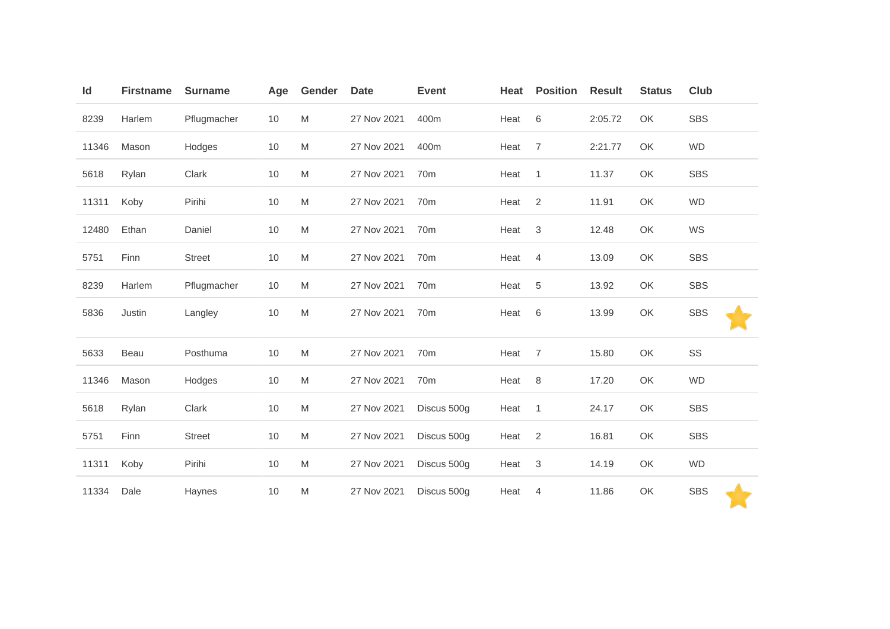| Id    | <b>Firstname</b> | <b>Surname</b> | Age  | Gender                                                                                | <b>Date</b> | <b>Event</b>    | Heat | <b>Position</b> | <b>Result</b> | <b>Status</b> | Club       |
|-------|------------------|----------------|------|---------------------------------------------------------------------------------------|-------------|-----------------|------|-----------------|---------------|---------------|------------|
| 8239  | Harlem           | Pflugmacher    | 10   | M                                                                                     | 27 Nov 2021 | 400m            | Heat | 6               | 2:05.72       | OK            | <b>SBS</b> |
| 11346 | Mason            | Hodges         | $10$ | $\mathsf{M}% _{T}=\mathsf{M}_{T}\!\left( a,b\right) ,\ \mathsf{M}_{T}=\mathsf{M}_{T}$ | 27 Nov 2021 | 400m            | Heat | $\overline{7}$  | 2:21.77       | OK            | <b>WD</b>  |
| 5618  | Rylan            | Clark          | 10   | M                                                                                     | 27 Nov 2021 | 70 <sub>m</sub> | Heat | $\overline{1}$  | 11.37         | OK            | <b>SBS</b> |
| 11311 | Koby             | Pirihi         | $10$ | $\mathsf{M}% _{T}=\mathsf{M}_{T}\!\left( a,b\right) ,\ \mathsf{M}_{T}=\mathsf{M}_{T}$ | 27 Nov 2021 | 70 <sub>m</sub> | Heat | $\overline{2}$  | 11.91         | OK            | <b>WD</b>  |
| 12480 | Ethan            | Daniel         | $10$ | M                                                                                     | 27 Nov 2021 | 70 <sub>m</sub> | Heat | $\mathbf{3}$    | 12.48         | OK            | WS         |
| 5751  | Finn             | <b>Street</b>  | $10$ | M                                                                                     | 27 Nov 2021 | 70 <sub>m</sub> | Heat | $\overline{4}$  | 13.09         | OK            | <b>SBS</b> |
| 8239  | Harlem           | Pflugmacher    | $10$ | M                                                                                     | 27 Nov 2021 | 70 <sub>m</sub> | Heat | $\overline{5}$  | 13.92         | OK            | <b>SBS</b> |
| 5836  | Justin           | Langley        | $10$ | M                                                                                     | 27 Nov 2021 | 70 <sub>m</sub> | Heat | $\,6$           | 13.99         | OK            | <b>SBS</b> |
| 5633  | Beau             | Posthuma       | $10$ | $\mathsf{M}% _{T}=\mathsf{M}_{T}\!\left( a,b\right) ,\ \mathsf{M}_{T}=\mathsf{M}_{T}$ | 27 Nov 2021 | 70m             | Heat | $\overline{7}$  | 15.80         | OK            | SS         |
| 11346 | Mason            | Hodges         | $10$ | M                                                                                     | 27 Nov 2021 | 70 <sub>m</sub> | Heat | 8               | 17.20         | OK            | <b>WD</b>  |
| 5618  | Rylan            | Clark          | $10$ | $\mathsf{M}% _{T}=\mathsf{M}_{T}\!\left( a,b\right) ,\ \mathsf{M}_{T}=\mathsf{M}_{T}$ | 27 Nov 2021 | Discus 500g     | Heat | $\mathbf{1}$    | 24.17         | OK            | <b>SBS</b> |
| 5751  | Finn             | <b>Street</b>  | $10$ | M                                                                                     | 27 Nov 2021 | Discus 500g     | Heat | $\overline{2}$  | 16.81         | OK            | <b>SBS</b> |
| 11311 | Koby             | Pirihi         | $10$ | $\mathsf{M}% _{T}=\mathsf{M}_{T}\!\left( a,b\right) ,\ \mathsf{M}_{T}=\mathsf{M}_{T}$ | 27 Nov 2021 | Discus 500g     | Heat | $\mathbf{3}$    | 14.19         | OK            | <b>WD</b>  |
| 11334 | Dale             | Haynes         | 10   | M                                                                                     | 27 Nov 2021 | Discus 500g     | Heat | 4               | 11.86         | OK            | <b>SBS</b> |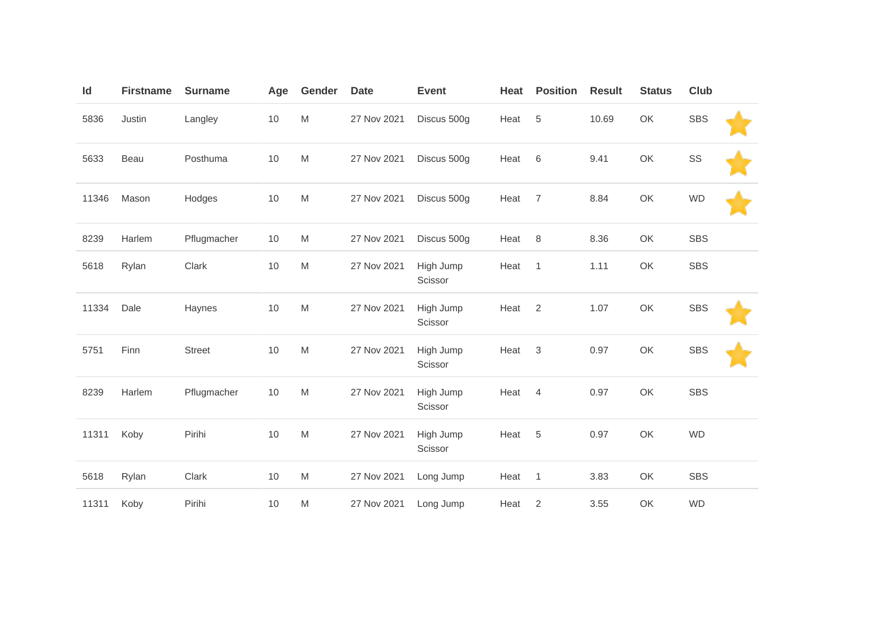| Id    | <b>Firstname</b> | <b>Surname</b> | Age  | Gender                                                                                                     | <b>Date</b> | <b>Event</b>         | Heat | <b>Position</b> | <b>Result</b> | <b>Status</b> | <b>Club</b> |  |
|-------|------------------|----------------|------|------------------------------------------------------------------------------------------------------------|-------------|----------------------|------|-----------------|---------------|---------------|-------------|--|
| 5836  | Justin           | Langley        | 10   | M                                                                                                          | 27 Nov 2021 | Discus 500g          | Heat | 5               | 10.69         | OK            | <b>SBS</b>  |  |
| 5633  | Beau             | Posthuma       | $10$ | M                                                                                                          | 27 Nov 2021 | Discus 500g          | Heat | 6               | 9.41          | OK            | SS          |  |
| 11346 | Mason            | Hodges         | 10   | M                                                                                                          | 27 Nov 2021 | Discus 500g          | Heat | 7               | 8.84          | OK            | <b>WD</b>   |  |
| 8239  | Harlem           | Pflugmacher    | 10   | M                                                                                                          | 27 Nov 2021 | Discus 500g          | Heat | 8               | 8.36          | OK            | <b>SBS</b>  |  |
| 5618  | Rylan            | Clark          | 10   | M                                                                                                          | 27 Nov 2021 | High Jump<br>Scissor | Heat | $\mathbf{1}$    | 1.11          | OK            | <b>SBS</b>  |  |
| 11334 | Dale             | Haynes         | 10   | M                                                                                                          | 27 Nov 2021 | High Jump<br>Scissor | Heat | 2               | 1.07          | OK            | <b>SBS</b>  |  |
| 5751  | Finn             | <b>Street</b>  | 10   | $\mathsf{M}% _{T}=\mathsf{M}_{T}\!\left( a,b\right) ,\ \mathsf{M}_{T}=\mathsf{M}_{T}\!\left( a,b\right) ,$ | 27 Nov 2021 | High Jump<br>Scissor | Heat | $\mathfrak{B}$  | 0.97          | OK            | <b>SBS</b>  |  |
| 8239  | Harlem           | Pflugmacher    | $10$ | M                                                                                                          | 27 Nov 2021 | High Jump<br>Scissor | Heat | 4               | 0.97          | OK            | <b>SBS</b>  |  |
| 11311 | Koby             | Pirihi         | 10   | M                                                                                                          | 27 Nov 2021 | High Jump<br>Scissor | Heat | 5               | 0.97          | OK            | <b>WD</b>   |  |
| 5618  | Rylan            | Clark          | $10$ | M                                                                                                          | 27 Nov 2021 | Long Jump            | Heat | $\overline{1}$  | 3.83          | OK            | <b>SBS</b>  |  |
| 11311 | Koby             | Pirihi         | 10   | M                                                                                                          | 27 Nov 2021 | Long Jump            | Heat | 2               | 3.55          | OK            | <b>WD</b>   |  |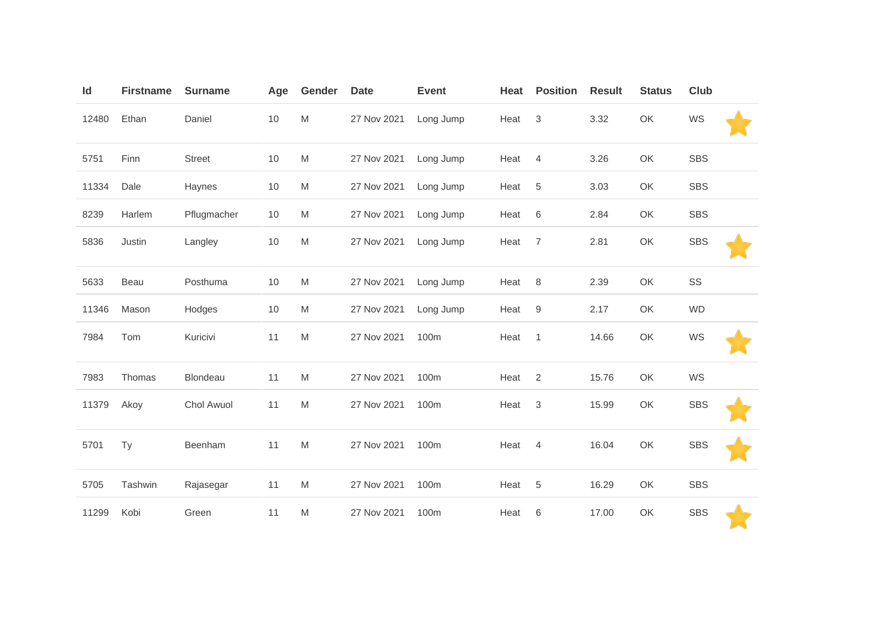| ld    | <b>Firstname</b> | <b>Surname</b> | Age  | Gender    | <b>Date</b> | <b>Event</b> | Heat | <b>Position</b> | <b>Result</b> | <b>Status</b> | Club       |  |
|-------|------------------|----------------|------|-----------|-------------|--------------|------|-----------------|---------------|---------------|------------|--|
| 12480 | Ethan            | Daniel         | $10$ | M         | 27 Nov 2021 | Long Jump    | Heat | 3               | 3.32          | OK            | WS         |  |
| 5751  | Finn             | <b>Street</b>  | 10   | M         | 27 Nov 2021 | Long Jump    | Heat | $\overline{4}$  | 3.26          | OK            | <b>SBS</b> |  |
| 11334 | Dale             | Haynes         | 10   | M         | 27 Nov 2021 | Long Jump    | Heat | 5               | 3.03          | OK            | <b>SBS</b> |  |
| 8239  | Harlem           | Pflugmacher    | 10   | M         | 27 Nov 2021 | Long Jump    | Heat | 6               | 2.84          | OK            | <b>SBS</b> |  |
| 5836  | Justin           | Langley        | $10$ | M         | 27 Nov 2021 | Long Jump    | Heat | $\overline{7}$  | 2.81          | OK            | <b>SBS</b> |  |
| 5633  | Beau             | Posthuma       | 10   | M         | 27 Nov 2021 | Long Jump    | Heat | $\,8\,$         | 2.39          | OK            | SS         |  |
| 11346 | Mason            | Hodges         | 10   | M         | 27 Nov 2021 | Long Jump    | Heat | 9               | 2.17          | OK            | <b>WD</b>  |  |
| 7984  | Tom              | Kuricivi       | 11   | ${\sf M}$ | 27 Nov 2021 | 100m         | Heat | $\mathbf{1}$    | 14.66         | OK            | WS         |  |
| 7983  | Thomas           | Blondeau       | 11   | M         | 27 Nov 2021 | 100m         | Heat | $\overline{2}$  | 15.76         | OK            | WS         |  |
| 11379 | Akoy             | Chol Awuol     | 11   | M         | 27 Nov 2021 | 100m         | Heat | 3               | 15.99         | OK            | <b>SBS</b> |  |
| 5701  | Ty               | Beenham        | 11   | M         | 27 Nov 2021 | 100m         | Heat | $\overline{4}$  | 16.04         | OK            | <b>SBS</b> |  |
| 5705  | Tashwin          | Rajasegar      | 11   | M         | 27 Nov 2021 | 100m         | Heat | 5               | 16.29         | OK            | <b>SBS</b> |  |
| 11299 | Kobi             | Green          | 11   | M         | 27 Nov 2021 | 100m         | Heat | 6               | 17.00         | OK            | <b>SBS</b> |  |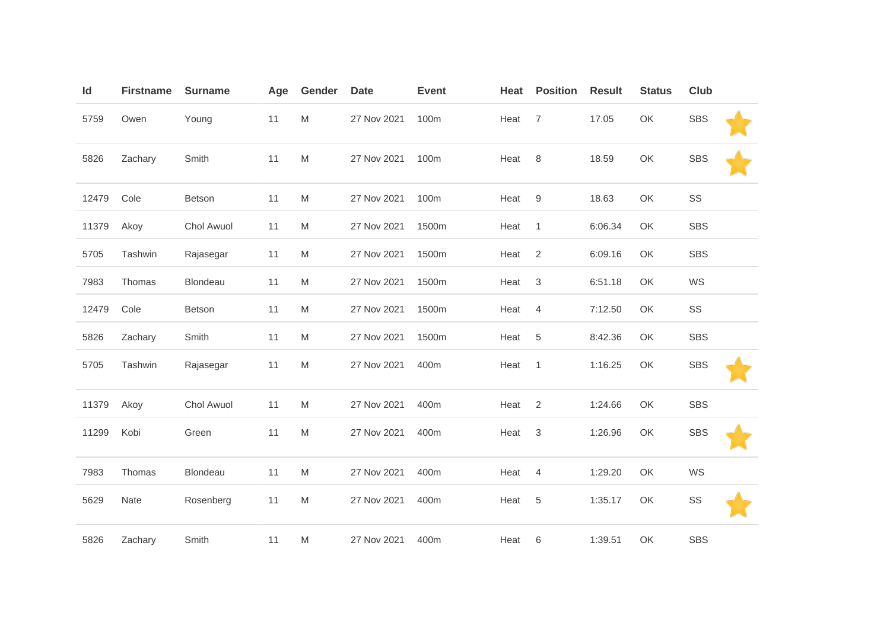| Id    | <b>Firstname</b> | <b>Surname</b> | Age | Gender    | <b>Date</b> | <b>Event</b> | Heat | <b>Position</b> | <b>Result</b> | <b>Status</b> | Club       |  |
|-------|------------------|----------------|-----|-----------|-------------|--------------|------|-----------------|---------------|---------------|------------|--|
| 5759  | Owen             | Young          | 11  | M         | 27 Nov 2021 | 100m         | Heat | $\overline{7}$  | 17.05         | OK            | <b>SBS</b> |  |
| 5826  | Zachary          | Smith          | 11  | ${\sf M}$ | 27 Nov 2021 | 100m         | Heat | 8               | 18.59         | OK            | <b>SBS</b> |  |
| 12479 | Cole             | Betson         | 11  | M         | 27 Nov 2021 | 100m         | Heat | $9\,$           | 18.63         | OK            | SS         |  |
| 11379 | Akoy             | Chol Awuol     | 11  | M         | 27 Nov 2021 | 1500m        | Heat | $\overline{1}$  | 6:06.34       | OK            | <b>SBS</b> |  |
| 5705  | Tashwin          | Rajasegar      | 11  | M         | 27 Nov 2021 | 1500m        | Heat | 2               | 6:09.16       | OK            | <b>SBS</b> |  |
| 7983  | Thomas           | Blondeau       | 11  | M         | 27 Nov 2021 | 1500m        | Heat | 3               | 6:51.18       | OK            | WS         |  |
| 12479 | Cole             | Betson         | 11  | ${\sf M}$ | 27 Nov 2021 | 1500m        | Heat | 4               | 7:12.50       | OK            | SS         |  |
| 5826  | Zachary          | Smith          | 11  | M         | 27 Nov 2021 | 1500m        | Heat | $\,$ 5 $\,$     | 8:42.36       | OK            | <b>SBS</b> |  |
| 5705  | Tashwin          | Rajasegar      | 11  | M         | 27 Nov 2021 | 400m         | Heat | $\overline{1}$  | 1:16.25       | OK            | <b>SBS</b> |  |
| 11379 | Akoy             | Chol Awuol     | 11  | M         | 27 Nov 2021 | 400m         | Heat | 2               | 1:24.66       | OK            | <b>SBS</b> |  |
| 11299 | Kobi             | Green          | 11  | ${\sf M}$ | 27 Nov 2021 | 400m         | Heat | 3               | 1:26.96       | OK            | <b>SBS</b> |  |
| 7983  | Thomas           | Blondeau       | 11  | M         | 27 Nov 2021 | 400m         | Heat | $\overline{4}$  | 1:29.20       | OK            | WS         |  |
| 5629  | Nate             | Rosenberg      | 11  | M         | 27 Nov 2021 | 400m         | Heat | 5               | 1:35.17       | OK            | SS         |  |
| 5826  | Zachary          | Smith          | 11  | M         | 27 Nov 2021 | 400m         | Heat | 6               | 1:39.51       | OK            | <b>SBS</b> |  |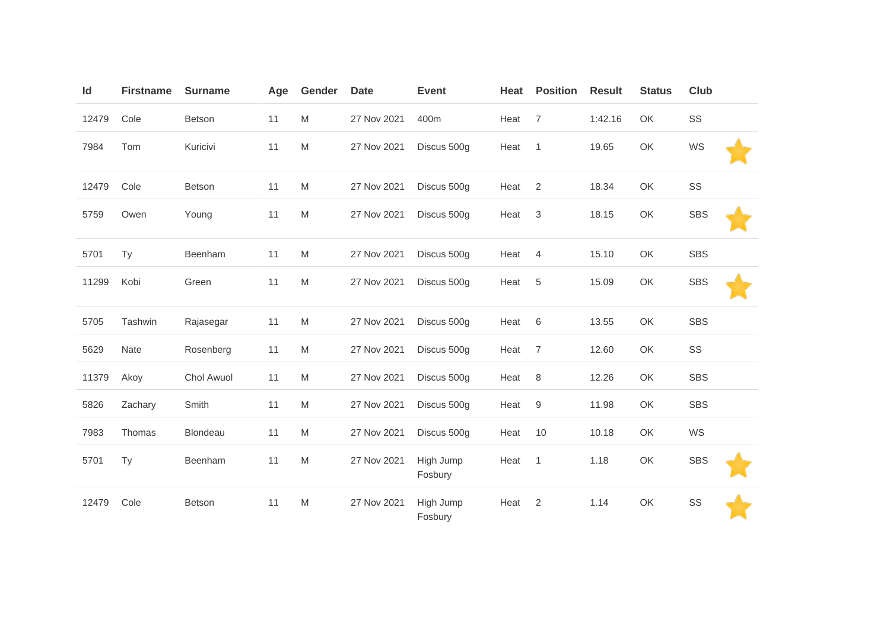| Id    | <b>Firstname</b> | <b>Surname</b> | Age | Gender    | <b>Date</b> | <b>Event</b>         | Heat | <b>Position</b>  | <b>Result</b> | <b>Status</b> | <b>Club</b> |  |
|-------|------------------|----------------|-----|-----------|-------------|----------------------|------|------------------|---------------|---------------|-------------|--|
| 12479 | Cole             | Betson         | 11  | ${\sf M}$ | 27 Nov 2021 | 400m                 | Heat | $\overline{7}$   | 1:42.16       | OK            | SS          |  |
| 7984  | Tom              | Kuricivi       | 11  | ${\sf M}$ | 27 Nov 2021 | Discus 500g          | Heat | $\mathbf{1}$     | 19.65         | OK            | WS          |  |
| 12479 | Cole             | <b>Betson</b>  | 11  | M         | 27 Nov 2021 | Discus 500g          | Heat | 2                | 18.34         | OK            | SS          |  |
| 5759  | Owen             | Young          | 11  | ${\sf M}$ | 27 Nov 2021 | Discus 500g          | Heat | 3                | 18.15         | OK            | <b>SBS</b>  |  |
| 5701  | Ty               | Beenham        | 11  | ${\sf M}$ | 27 Nov 2021 | Discus 500g          | Heat | 4                | 15.10         | OK            | <b>SBS</b>  |  |
| 11299 | Kobi             | Green          | 11  | ${\sf M}$ | 27 Nov 2021 | Discus 500g          | Heat | 5                | 15.09         | OK            | <b>SBS</b>  |  |
| 5705  | Tashwin          | Rajasegar      | 11  | M         | 27 Nov 2021 | Discus 500g          | Heat | 6                | 13.55         | OK            | <b>SBS</b>  |  |
| 5629  | Nate             | Rosenberg      | 11  | M         | 27 Nov 2021 | Discus 500g          | Heat | 7                | 12.60         | OK            | SS          |  |
| 11379 | Akoy             | Chol Awuol     | 11  | ${\sf M}$ | 27 Nov 2021 | Discus 500g          | Heat | $\,8\,$          | 12.26         | OK            | <b>SBS</b>  |  |
| 5826  | Zachary          | Smith          | 11  | ${\sf M}$ | 27 Nov 2021 | Discus 500g          | Heat | $\boldsymbol{9}$ | 11.98         | OK            | <b>SBS</b>  |  |
| 7983  | Thomas           | Blondeau       | 11  | M         | 27 Nov 2021 | Discus 500g          | Heat | 10               | 10.18         | OK            | WS          |  |
| 5701  | <b>Ty</b>        | Beenham        | 11  | M         | 27 Nov 2021 | High Jump<br>Fosbury | Heat | 1                | 1.18          | OK            | <b>SBS</b>  |  |
| 12479 | Cole             | Betson         | 11  | M         | 27 Nov 2021 | High Jump<br>Fosbury | Heat | 2                | 1.14          | OK            | SS          |  |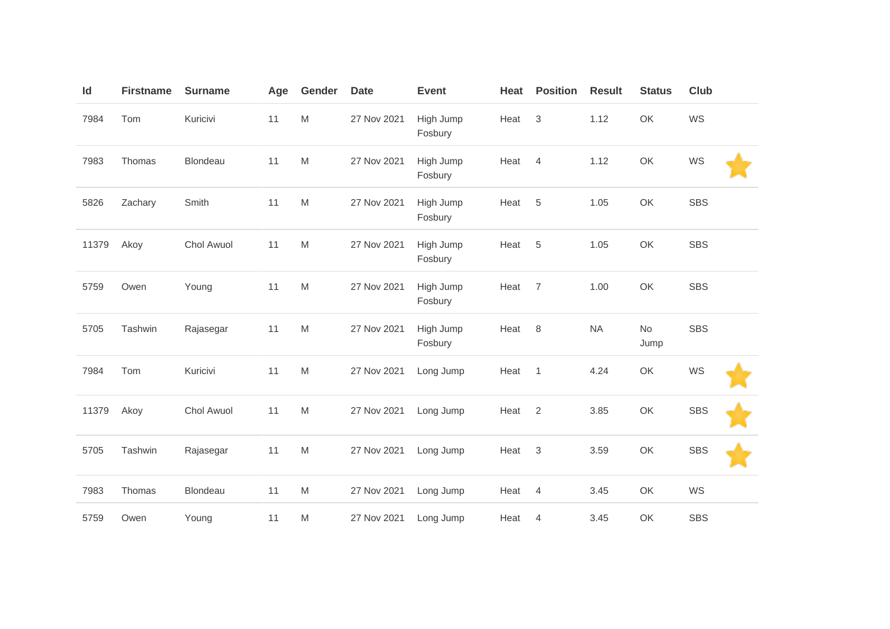| Id    | <b>Firstname</b> | <b>Surname</b> | Age | Gender                                                                                | <b>Date</b> | <b>Event</b>         | Heat | <b>Position</b> | <b>Result</b> | <b>Status</b>     | Club       |  |
|-------|------------------|----------------|-----|---------------------------------------------------------------------------------------|-------------|----------------------|------|-----------------|---------------|-------------------|------------|--|
| 7984  | Tom              | Kuricivi       | 11  | ${\sf M}$                                                                             | 27 Nov 2021 | High Jump<br>Fosbury | Heat | 3               | 1.12          | OK                | WS         |  |
| 7983  | Thomas           | Blondeau       | 11  | ${\sf M}$                                                                             | 27 Nov 2021 | High Jump<br>Fosbury | Heat | $\overline{4}$  | 1.12          | OK                | WS         |  |
| 5826  | Zachary          | Smith          | 11  | ${\sf M}$                                                                             | 27 Nov 2021 | High Jump<br>Fosbury | Heat | 5               | 1.05          | OK                | <b>SBS</b> |  |
| 11379 | Akoy             | Chol Awuol     | 11  | M                                                                                     | 27 Nov 2021 | High Jump<br>Fosbury | Heat | 5               | 1.05          | OK                | <b>SBS</b> |  |
| 5759  | Owen             | Young          | 11  | $\mathsf{M}% _{T}=\mathsf{M}_{T}\!\left( a,b\right) ,\ \mathsf{M}_{T}=\mathsf{M}_{T}$ | 27 Nov 2021 | High Jump<br>Fosbury | Heat | $\overline{7}$  | 1.00          | OK                | <b>SBS</b> |  |
| 5705  | Tashwin          | Rajasegar      | 11  | ${\sf M}$                                                                             | 27 Nov 2021 | High Jump<br>Fosbury | Heat | 8               | <b>NA</b>     | <b>No</b><br>Jump | <b>SBS</b> |  |
| 7984  | Tom              | Kuricivi       | 11  | ${\sf M}$                                                                             | 27 Nov 2021 | Long Jump            | Heat | $\overline{1}$  | 4.24          | OK                | WS         |  |
| 11379 | Akoy             | Chol Awuol     | 11  | ${\sf M}$                                                                             | 27 Nov 2021 | Long Jump            | Heat | 2               | 3.85          | OK                | <b>SBS</b> |  |
| 5705  | Tashwin          | Rajasegar      | 11  | ${\sf M}$                                                                             | 27 Nov 2021 | Long Jump            | Heat | 3               | 3.59          | OK                | <b>SBS</b> |  |
| 7983  | Thomas           | Blondeau       | 11  | M                                                                                     | 27 Nov 2021 | Long Jump            | Heat | $\overline{4}$  | 3.45          | OK                | WS         |  |
| 5759  | Owen             | Young          | 11  | M                                                                                     | 27 Nov 2021 | Long Jump            | Heat | 4               | 3.45          | OK                | <b>SBS</b> |  |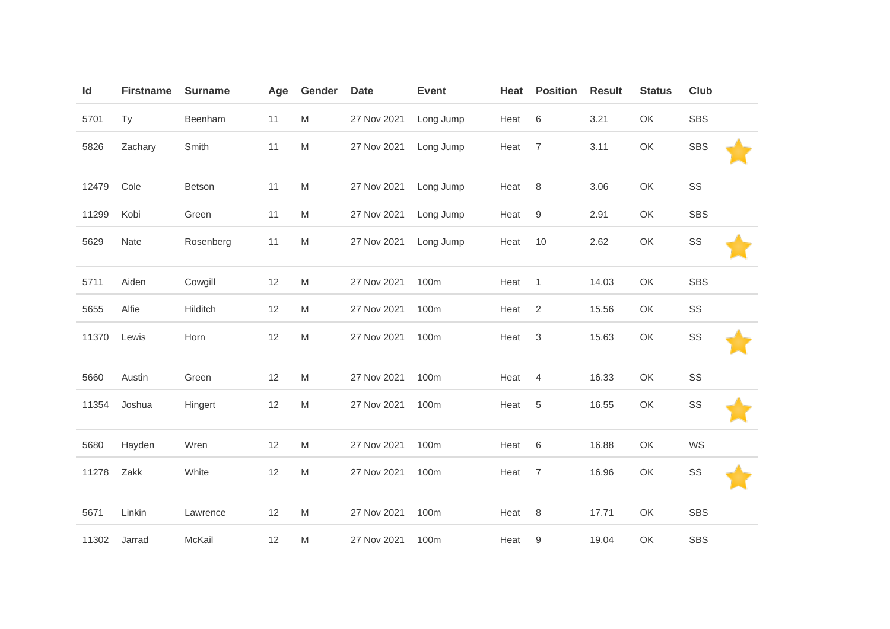| Id    | <b>Firstname</b> | <b>Surname</b> | Age | Gender    | <b>Date</b> | <b>Event</b> | Heat | <b>Position</b> | <b>Result</b> | <b>Status</b> | Club       |  |
|-------|------------------|----------------|-----|-----------|-------------|--------------|------|-----------------|---------------|---------------|------------|--|
| 5701  | Ty               | Beenham        | 11  | M         | 27 Nov 2021 | Long Jump    | Heat | 6               | 3.21          | OK            | <b>SBS</b> |  |
| 5826  | Zachary          | Smith          | 11  | ${\sf M}$ | 27 Nov 2021 | Long Jump    | Heat | $\overline{7}$  | 3.11          | OK            | <b>SBS</b> |  |
| 12479 | Cole             | Betson         | 11  | M         | 27 Nov 2021 | Long Jump    | Heat | 8               | 3.06          | OK            | SS         |  |
| 11299 | Kobi             | Green          | 11  | M         | 27 Nov 2021 | Long Jump    | Heat | $9\,$           | 2.91          | OK            | <b>SBS</b> |  |
| 5629  | Nate             | Rosenberg      | 11  | M         | 27 Nov 2021 | Long Jump    | Heat | 10              | 2.62          | OK            | SS         |  |
| 5711  | Aiden            | Cowgill        | 12  | M         | 27 Nov 2021 | 100m         | Heat | $\overline{1}$  | 14.03         | OK            | <b>SBS</b> |  |
| 5655  | Alfie            | Hilditch       | 12  | M         | 27 Nov 2021 | 100m         | Heat | 2               | 15.56         | OK            | SS         |  |
| 11370 | Lewis            | Horn           | 12  | M         | 27 Nov 2021 | 100m         | Heat | $\sqrt{3}$      | 15.63         | OK            | SS         |  |
| 5660  | Austin           | Green          | 12  | M         | 27 Nov 2021 | 100m         | Heat | 4               | 16.33         | OK            | SS         |  |
| 11354 | Joshua           | Hingert        | 12  | ${\sf M}$ | 27 Nov 2021 | 100m         | Heat | $\,$ 5 $\,$     | 16.55         | OK            | SS         |  |
| 5680  | Hayden           | Wren           | 12  | ${\sf M}$ | 27 Nov 2021 | 100m         | Heat | 6               | 16.88         | OK            | WS         |  |
| 11278 | Zakk             | White          | 12  | M         | 27 Nov 2021 | 100m         | Heat | $\overline{7}$  | 16.96         | OK            | SS         |  |
| 5671  | Linkin           | Lawrence       | 12  | M         | 27 Nov 2021 | 100m         | Heat | $\,8\,$         | 17.71         | OK            | <b>SBS</b> |  |
| 11302 | Jarrad           | McKail         | 12  | M         | 27 Nov 2021 | 100m         | Heat | 9               | 19.04         | OK            | <b>SBS</b> |  |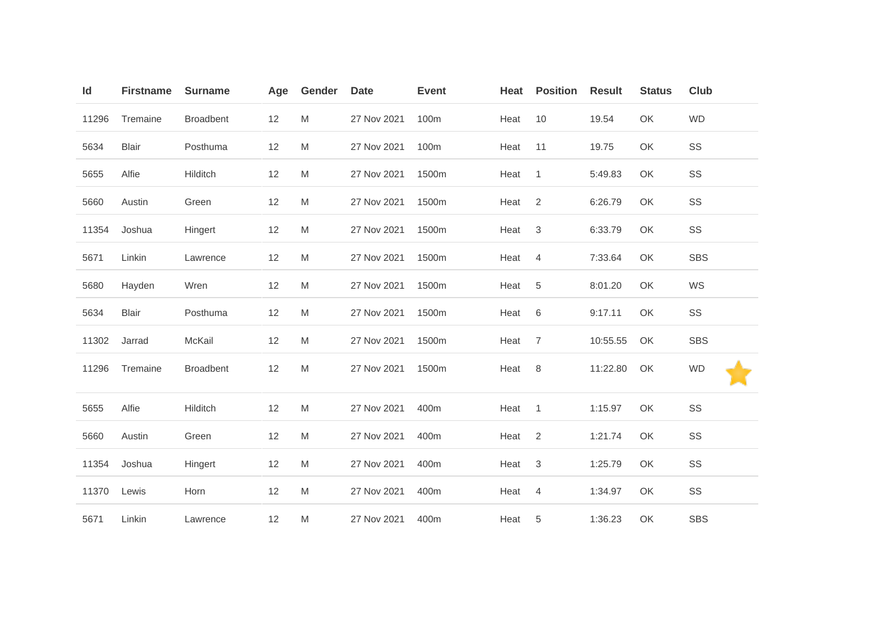| Id    | <b>Firstname</b> | <b>Surname</b>   | Age | Gender                                                                                | <b>Date</b> | <b>Event</b> | Heat | <b>Position</b> | <b>Result</b> | <b>Status</b> | Club       |
|-------|------------------|------------------|-----|---------------------------------------------------------------------------------------|-------------|--------------|------|-----------------|---------------|---------------|------------|
| 11296 | Tremaine         | <b>Broadbent</b> | 12  | M                                                                                     | 27 Nov 2021 | 100m         | Heat | 10              | 19.54         | OK            | <b>WD</b>  |
| 5634  | <b>Blair</b>     | Posthuma         | 12  | M                                                                                     | 27 Nov 2021 | 100m         | Heat | 11              | 19.75         | OK            | SS         |
| 5655  | Alfie            | Hilditch         | 12  | M                                                                                     | 27 Nov 2021 | 1500m        | Heat | $\overline{1}$  | 5:49.83       | OK            | SS         |
| 5660  | Austin           | Green            | 12  | M                                                                                     | 27 Nov 2021 | 1500m        | Heat | $\overline{2}$  | 6:26.79       | OK            | SS         |
| 11354 | Joshua           | Hingert          | 12  | M                                                                                     | 27 Nov 2021 | 1500m        | Heat | $\sqrt{3}$      | 6:33.79       | OK            | SS         |
| 5671  | Linkin           | Lawrence         | 12  | M                                                                                     | 27 Nov 2021 | 1500m        | Heat | 4               | 7:33.64       | OK            | <b>SBS</b> |
| 5680  | Hayden           | Wren             | 12  | M                                                                                     | 27 Nov 2021 | 1500m        | Heat | $\sqrt{5}$      | 8:01.20       | OK            | WS         |
| 5634  | <b>Blair</b>     | Posthuma         | 12  | $\mathsf{M}% _{T}=\mathsf{M}_{T}\!\left( a,b\right) ,\ \mathsf{M}_{T}=\mathsf{M}_{T}$ | 27 Nov 2021 | 1500m        | Heat | 6               | 9:17.11       | OK            | SS         |
| 11302 | Jarrad           | McKail           | 12  | M                                                                                     | 27 Nov 2021 | 1500m        | Heat | $\overline{7}$  | 10:55.55      | OK            | SBS        |
| 11296 | Tremaine         | <b>Broadbent</b> | 12  | M                                                                                     | 27 Nov 2021 | 1500m        | Heat | 8               | 11:22.80      | OK            | <b>WD</b>  |
| 5655  | Alfie            | Hilditch         | 12  | $\mathsf{M}% _{T}=\mathsf{M}_{T}\!\left( a,b\right) ,\ \mathsf{M}_{T}=\mathsf{M}_{T}$ | 27 Nov 2021 | 400m         | Heat | $\overline{1}$  | 1:15.97       | OK            | SS         |
| 5660  | Austin           | Green            | 12  | M                                                                                     | 27 Nov 2021 | 400m         | Heat | 2               | 1:21.74       | OK            | SS         |
| 11354 | Joshua           | Hingert          | 12  | M                                                                                     | 27 Nov 2021 | 400m         | Heat | 3               | 1:25.79       | OK            | SS         |
| 11370 | Lewis            | Horn             | 12  | M                                                                                     | 27 Nov 2021 | 400m         | Heat | $\overline{4}$  | 1:34.97       | OK            | SS         |
| 5671  | Linkin           | Lawrence         | 12  | M                                                                                     | 27 Nov 2021 | 400m         | Heat | 5               | 1:36.23       | OK            | <b>SBS</b> |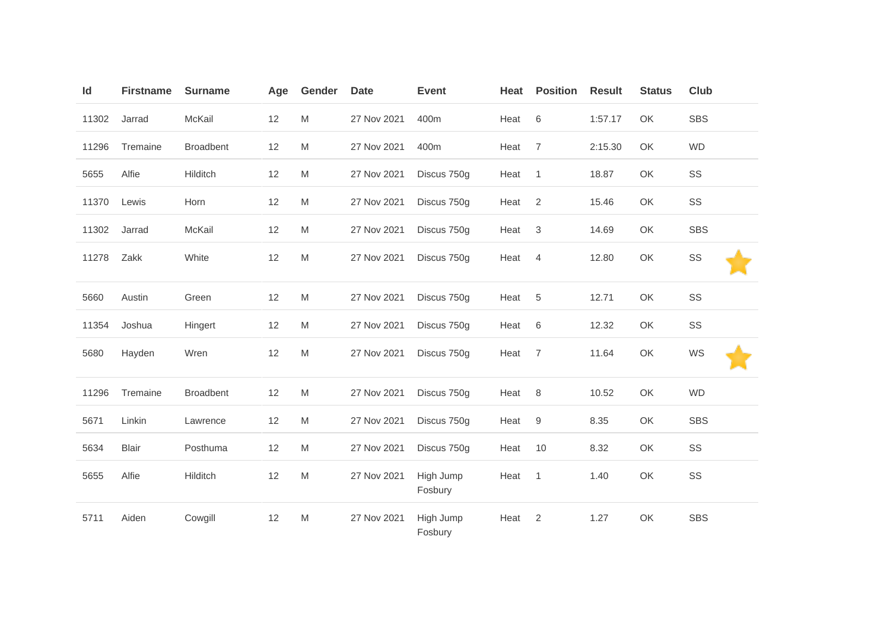| Id    | <b>Firstname</b> | <b>Surname</b>   | Age | Gender                                                                                | <b>Date</b> | <b>Event</b>         | Heat | <b>Position</b> | <b>Result</b> | <b>Status</b> | <b>Club</b> |
|-------|------------------|------------------|-----|---------------------------------------------------------------------------------------|-------------|----------------------|------|-----------------|---------------|---------------|-------------|
| 11302 | Jarrad           | McKail           | 12  | $\mathsf{M}% _{T}=\mathsf{M}_{T}\!\left( a,b\right) ,\ \mathsf{M}_{T}=\mathsf{M}_{T}$ | 27 Nov 2021 | 400m                 | Heat | 6               | 1:57.17       | OK            | <b>SBS</b>  |
| 11296 | Tremaine         | <b>Broadbent</b> | 12  | M                                                                                     | 27 Nov 2021 | 400m                 | Heat | $\overline{7}$  | 2:15.30       | OK            | <b>WD</b>   |
| 5655  | Alfie            | Hilditch         | 12  | $\mathsf{M}% _{T}=\mathsf{M}_{T}\!\left( a,b\right) ,\ \mathsf{M}_{T}=\mathsf{M}_{T}$ | 27 Nov 2021 | Discus 750g          | Heat | $\overline{1}$  | 18.87         | OK            | SS          |
| 11370 | Lewis            | Horn             | 12  | M                                                                                     | 27 Nov 2021 | Discus 750g          | Heat | 2               | 15.46         | OK            | SS          |
| 11302 | Jarrad           | McKail           | 12  | M                                                                                     | 27 Nov 2021 | Discus 750g          | Heat | 3               | 14.69         | OK            | <b>SBS</b>  |
| 11278 | Zakk             | White            | 12  | ${\sf M}$                                                                             | 27 Nov 2021 | Discus 750g          | Heat | 4               | 12.80         | OK            | SS          |
| 5660  | Austin           | Green            | 12  | $\mathsf{M}% _{T}=\mathsf{M}_{T}\!\left( a,b\right) ,\ \mathsf{M}_{T}=\mathsf{M}_{T}$ | 27 Nov 2021 | Discus 750g          | Heat | 5               | 12.71         | OK            | SS          |
| 11354 | Joshua           | Hingert          | 12  | M                                                                                     | 27 Nov 2021 | Discus 750g          | Heat | 6               | 12.32         | OK            | SS          |
| 5680  | Hayden           | Wren             | 12  | M                                                                                     | 27 Nov 2021 | Discus 750g          | Heat | 7               | 11.64         | OK            | WS          |
| 11296 | Tremaine         | <b>Broadbent</b> | 12  | ${\sf M}$                                                                             | 27 Nov 2021 | Discus 750g          | Heat | 8               | 10.52         | OK            | <b>WD</b>   |
| 5671  | Linkin           | Lawrence         | 12  | M                                                                                     | 27 Nov 2021 | Discus 750g          | Heat | 9               | 8.35          | OK            | <b>SBS</b>  |
| 5634  | <b>Blair</b>     | Posthuma         | 12  | M                                                                                     | 27 Nov 2021 | Discus 750g          | Heat | 10              | 8.32          | OK            | SS          |
| 5655  | Alfie            | Hilditch         | 12  | ${\sf M}$                                                                             | 27 Nov 2021 | High Jump<br>Fosbury | Heat | 1               | 1.40          | OK            | SS          |
| 5711  | Aiden            | Cowgill          | 12  | M                                                                                     | 27 Nov 2021 | High Jump<br>Fosbury | Heat | 2               | 1.27          | OK            | <b>SBS</b>  |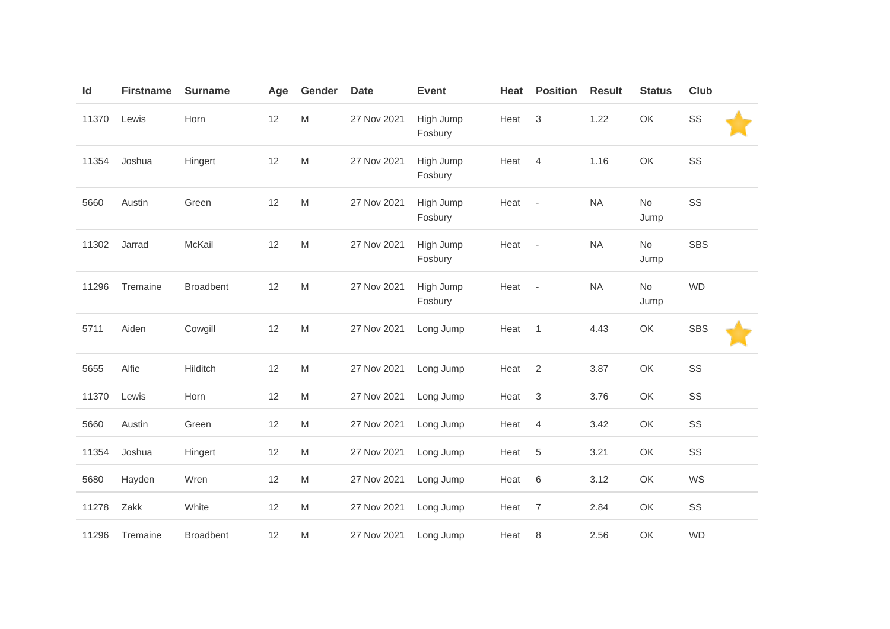| Id    | <b>Firstname</b> | <b>Surname</b>   | Age | Gender                                                                                                     | <b>Date</b> | <b>Event</b>         | Heat | <b>Position</b>          | <b>Result</b> | <b>Status</b> | Club       |
|-------|------------------|------------------|-----|------------------------------------------------------------------------------------------------------------|-------------|----------------------|------|--------------------------|---------------|---------------|------------|
| 11370 | Lewis            | Horn             | 12  | M                                                                                                          | 27 Nov 2021 | High Jump<br>Fosbury | Heat | 3                        | 1.22          | OK            | SS         |
| 11354 | Joshua           | Hingert          | 12  | M                                                                                                          | 27 Nov 2021 | High Jump<br>Fosbury | Heat | $\overline{4}$           | 1.16          | OK            | SS         |
| 5660  | Austin           | Green            | 12  | $\mathsf{M}% _{T}=\mathsf{M}_{T}\!\left( a,b\right) ,\ \mathsf{M}_{T}=\mathsf{M}_{T}\!\left( a,b\right) ,$ | 27 Nov 2021 | High Jump<br>Fosbury | Heat | $\overline{\phantom{a}}$ | <b>NA</b>     | No<br>Jump    | SS         |
| 11302 | Jarrad           | McKail           | 12  | M                                                                                                          | 27 Nov 2021 | High Jump<br>Fosbury | Heat | $\overline{\phantom{a}}$ | <b>NA</b>     | No<br>Jump    | <b>SBS</b> |
| 11296 | Tremaine         | <b>Broadbent</b> | 12  | M                                                                                                          | 27 Nov 2021 | High Jump<br>Fosbury | Heat | $\sim$                   | <b>NA</b>     | No<br>Jump    | <b>WD</b>  |
| 5711  | Aiden            | Cowgill          | 12  | ${\sf M}$                                                                                                  | 27 Nov 2021 | Long Jump            | Heat | $\mathbf{1}$             | 4.43          | OK            | <b>SBS</b> |
| 5655  | Alfie            | Hilditch         | 12  | $\mathsf{M}% _{T}=\mathsf{M}_{T}\!\left( a,b\right) ,\ \mathsf{M}_{T}=\mathsf{M}_{T}\!\left( a,b\right) ,$ | 27 Nov 2021 | Long Jump            | Heat | 2                        | 3.87          | OK            | SS         |
| 11370 | Lewis            | Horn             | 12  | M                                                                                                          | 27 Nov 2021 | Long Jump            | Heat | 3                        | 3.76          | OK            | SS         |
| 5660  | Austin           | Green            | 12  | M                                                                                                          | 27 Nov 2021 | Long Jump            | Heat | 4                        | 3.42          | OK            | SS         |
| 11354 | Joshua           | Hingert          | 12  | M                                                                                                          | 27 Nov 2021 | Long Jump            | Heat | $\sqrt{5}$               | 3.21          | OK            | SS         |
| 5680  | Hayden           | Wren             | 12  | $\mathsf{M}% _{T}=\mathsf{M}_{T}\!\left( a,b\right) ,\ \mathsf{M}_{T}=\mathsf{M}_{T}\!\left( a,b\right) ,$ | 27 Nov 2021 | Long Jump            | Heat | $\,6$                    | 3.12          | OK            | WS         |
| 11278 | Zakk             | White            | 12  | M                                                                                                          | 27 Nov 2021 | Long Jump            | Heat | 7                        | 2.84          | OK            | SS         |
| 11296 | Tremaine         | <b>Broadbent</b> | 12  | M                                                                                                          | 27 Nov 2021 | Long Jump            | Heat | 8                        | 2.56          | OK            | <b>WD</b>  |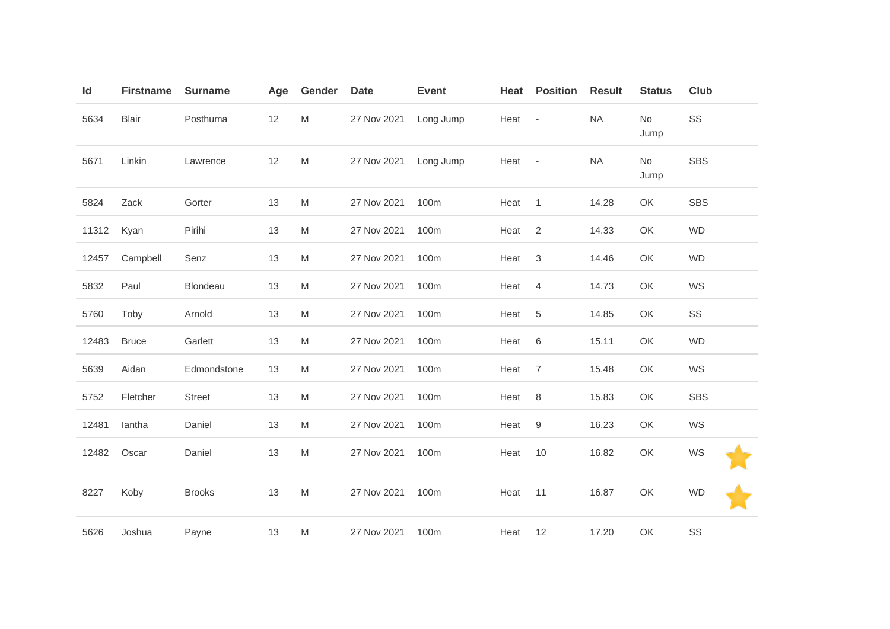| Id    | <b>Firstname</b> | <b>Surname</b> | Age | <b>Gender</b> | <b>Date</b> | <b>Event</b> | Heat | <b>Position</b> | <b>Result</b> | <b>Status</b> | Club       |
|-------|------------------|----------------|-----|---------------|-------------|--------------|------|-----------------|---------------|---------------|------------|
| 5634  | Blair            | Posthuma       | 12  | M             | 27 Nov 2021 | Long Jump    | Heat | $\sim$          | NA            | No<br>Jump    | SS         |
| 5671  | Linkin           | Lawrence       | 12  | M             | 27 Nov 2021 | Long Jump    | Heat | $\sim$          | <b>NA</b>     | No<br>Jump    | <b>SBS</b> |
| 5824  | Zack             | Gorter         | 13  | M             | 27 Nov 2021 | 100m         | Heat | $\mathbf{1}$    | 14.28         | OK            | <b>SBS</b> |
| 11312 | Kyan             | Pirihi         | 13  | M             | 27 Nov 2021 | 100m         | Heat | 2               | 14.33         | OK            | <b>WD</b>  |
| 12457 | Campbell         | Senz           | 13  | M             | 27 Nov 2021 | 100m         | Heat | $\sqrt{3}$      | 14.46         | OK            | <b>WD</b>  |
| 5832  | Paul             | Blondeau       | 13  | M             | 27 Nov 2021 | 100m         | Heat | $\overline{4}$  | 14.73         | OK            | WS         |
| 5760  | Toby             | Arnold         | 13  | M             | 27 Nov 2021 | 100m         | Heat | $\sqrt{5}$      | 14.85         | OK            | SS         |
| 12483 | <b>Bruce</b>     | Garlett        | 13  | M             | 27 Nov 2021 | 100m         | Heat | 6               | 15.11         | OK            | <b>WD</b>  |
| 5639  | Aidan            | Edmondstone    | 13  | M             | 27 Nov 2021 | 100m         | Heat | $\overline{7}$  | 15.48         | OK            | WS         |
| 5752  | Fletcher         | <b>Street</b>  | 13  | M             | 27 Nov 2021 | 100m         | Heat | $\,8\,$         | 15.83         | OK            | <b>SBS</b> |
| 12481 | lantha           | Daniel         | 13  | M             | 27 Nov 2021 | 100m         | Heat | $9\,$           | 16.23         | OK            | WS         |
| 12482 | Oscar            | Daniel         | 13  | M             | 27 Nov 2021 | 100m         | Heat | $10$            | 16.82         | OK            | WS         |
| 8227  | Koby             | <b>Brooks</b>  | 13  | M             | 27 Nov 2021 | 100m         | Heat | 11              | 16.87         | OK            | <b>WD</b>  |
| 5626  | Joshua           | Payne          | 13  | M             | 27 Nov 2021 | 100m         | Heat | 12              | 17.20         | OK            | SS         |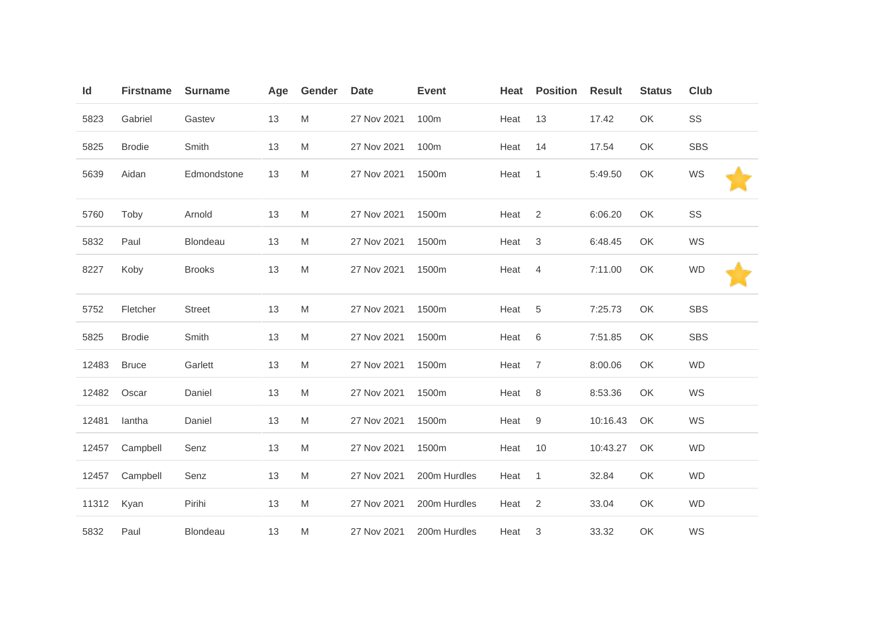| Id    | <b>Firstname</b> | <b>Surname</b>  | Age | Gender | <b>Date</b> | <b>Event</b> | Heat | <b>Position</b> | <b>Result</b> | <b>Status</b> | Club       |
|-------|------------------|-----------------|-----|--------|-------------|--------------|------|-----------------|---------------|---------------|------------|
| 5823  | Gabriel          | Gastev          | 13  | M      | 27 Nov 2021 | 100m         | Heat | 13              | 17.42         | OK            | SS         |
| 5825  | <b>Brodie</b>    | Smith           | 13  | M      | 27 Nov 2021 | 100m         | Heat | 14              | 17.54         | OK            | <b>SBS</b> |
| 5639  | Aidan            | Edmondstone     | 13  | M      | 27 Nov 2021 | 1500m        | Heat | $\overline{1}$  | 5:49.50       | OK            | WS         |
| 5760  | Toby             | Arnold          | 13  | M      | 27 Nov 2021 | 1500m        | Heat | $\overline{2}$  | 6:06.20       | OK            | SS         |
| 5832  | Paul             | <b>Blondeau</b> | 13  | M      | 27 Nov 2021 | 1500m        | Heat | 3               | 6:48.45       | OK            | WS         |
| 8227  | Koby             | <b>Brooks</b>   | 13  | M      | 27 Nov 2021 | 1500m        | Heat | $\overline{4}$  | 7:11.00       | OK            | <b>WD</b>  |
| 5752  | Fletcher         | <b>Street</b>   | 13  | M      | 27 Nov 2021 | 1500m        | Heat | 5               | 7:25.73       | OK            | <b>SBS</b> |
| 5825  | <b>Brodie</b>    | Smith           | 13  | M      | 27 Nov 2021 | 1500m        | Heat | 6               | 7:51.85       | OK            | <b>SBS</b> |
| 12483 | <b>Bruce</b>     | Garlett         | 13  | M      | 27 Nov 2021 | 1500m        | Heat | $\overline{7}$  | 8:00.06       | OK            | <b>WD</b>  |
| 12482 | Oscar            | Daniel          | 13  | M      | 27 Nov 2021 | 1500m        | Heat | 8               | 8:53.36       | OK            | WS         |
| 12481 | lantha           | Daniel          | 13  | M      | 27 Nov 2021 | 1500m        | Heat | 9               | 10:16.43      | OK            | WS         |
| 12457 | Campbell         | Senz            | 13  | M      | 27 Nov 2021 | 1500m        | Heat | 10              | 10:43.27      | OK            | <b>WD</b>  |
| 12457 | Campbell         | Senz            | 13  | M      | 27 Nov 2021 | 200m Hurdles | Heat | $\overline{1}$  | 32.84         | OK            | <b>WD</b>  |
| 11312 | Kyan             | Pirihi          | 13  | M      | 27 Nov 2021 | 200m Hurdles | Heat | $\overline{2}$  | 33.04         | OK            | <b>WD</b>  |
| 5832  | Paul             | <b>Blondeau</b> | 13  | M      | 27 Nov 2021 | 200m Hurdles | Heat | 3               | 33.32         | OK            | WS         |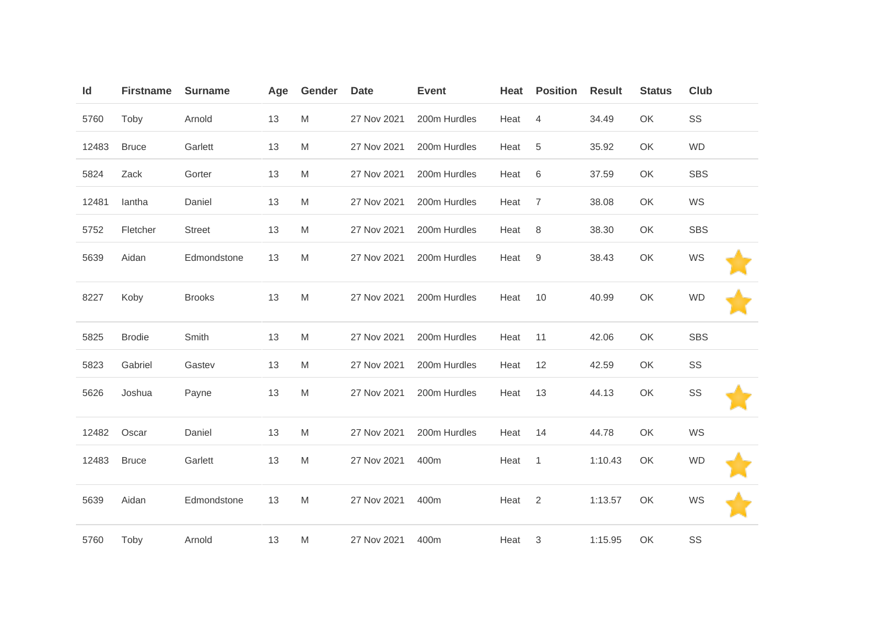| Id    | <b>Firstname</b> | <b>Surname</b> | Age | Gender | <b>Date</b> | <b>Event</b> | Heat | <b>Position</b> | <b>Result</b> | <b>Status</b> | <b>Club</b> |  |
|-------|------------------|----------------|-----|--------|-------------|--------------|------|-----------------|---------------|---------------|-------------|--|
| 5760  | Toby             | Arnold         | 13  | M      | 27 Nov 2021 | 200m Hurdles | Heat | $\overline{4}$  | 34.49         | OK            | SS          |  |
| 12483 | <b>Bruce</b>     | Garlett        | 13  | M      | 27 Nov 2021 | 200m Hurdles | Heat | $\sqrt{5}$      | 35.92         | OK            | <b>WD</b>   |  |
| 5824  | Zack             | Gorter         | 13  | M      | 27 Nov 2021 | 200m Hurdles | Heat | 6               | 37.59         | OK            | <b>SBS</b>  |  |
| 12481 | lantha           | Daniel         | 13  | M      | 27 Nov 2021 | 200m Hurdles | Heat | $\overline{7}$  | 38.08         | OK            | WS          |  |
| 5752  | Fletcher         | <b>Street</b>  | 13  | M      | 27 Nov 2021 | 200m Hurdles | Heat | 8               | 38.30         | OK            | <b>SBS</b>  |  |
| 5639  | Aidan            | Edmondstone    | 13  | M      | 27 Nov 2021 | 200m Hurdles | Heat | 9               | 38.43         | OK            | WS          |  |
| 8227  | Koby             | <b>Brooks</b>  | 13  | M      | 27 Nov 2021 | 200m Hurdles | Heat | 10              | 40.99         | OK            | <b>WD</b>   |  |
| 5825  | <b>Brodie</b>    | Smith          | 13  | M      | 27 Nov 2021 | 200m Hurdles | Heat | 11              | 42.06         | OK            | <b>SBS</b>  |  |
| 5823  | Gabriel          | Gastev         | 13  | M      | 27 Nov 2021 | 200m Hurdles | Heat | 12              | 42.59         | OK            | SS          |  |
| 5626  | Joshua           | Payne          | 13  | M      | 27 Nov 2021 | 200m Hurdles | Heat | 13              | 44.13         | OK            | SS          |  |
| 12482 | Oscar            | Daniel         | 13  | M      | 27 Nov 2021 | 200m Hurdles | Heat | 14              | 44.78         | OK            | WS          |  |
| 12483 | <b>Bruce</b>     | Garlett        | 13  | M      | 27 Nov 2021 | 400m         | Heat | $\overline{1}$  | 1:10.43       | OK            | <b>WD</b>   |  |
| 5639  | Aidan            | Edmondstone    | 13  | M      | 27 Nov 2021 | 400m         | Heat | 2               | 1:13.57       | OK            | WS          |  |
| 5760  | Toby             | Arnold         | 13  | M      | 27 Nov 2021 | 400m         | Heat | 3               | 1:15.95       | OK            | SS          |  |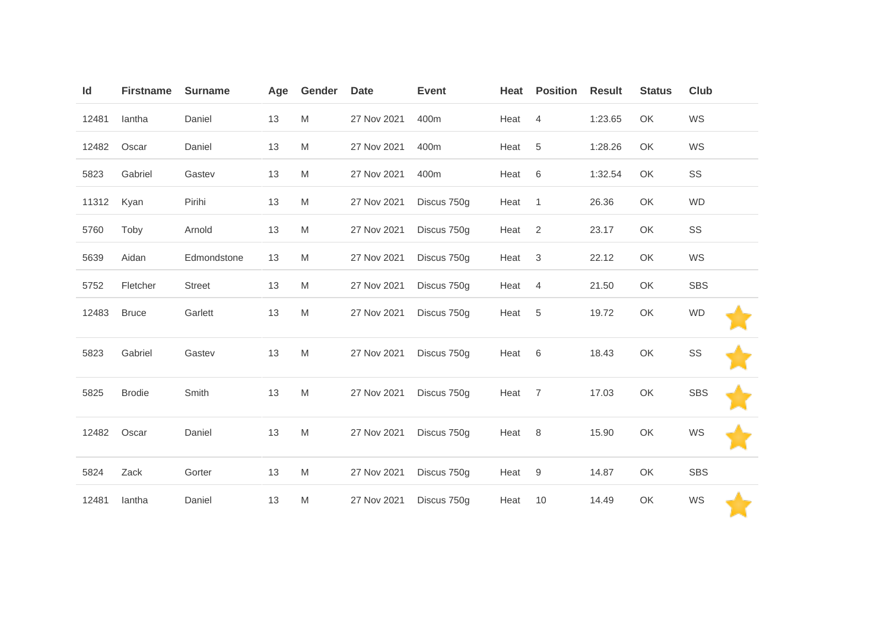| Id    | <b>Firstname</b> | <b>Surname</b> | Age | Gender                                                                                | <b>Date</b> | <b>Event</b> | Heat | <b>Position</b> | <b>Result</b> | <b>Status</b> | <b>Club</b> |
|-------|------------------|----------------|-----|---------------------------------------------------------------------------------------|-------------|--------------|------|-----------------|---------------|---------------|-------------|
| 12481 | lantha           | Daniel         | 13  | ${\sf M}$                                                                             | 27 Nov 2021 | 400m         | Heat | $\overline{4}$  | 1:23.65       | OK            | WS          |
| 12482 | Oscar            | Daniel         | 13  | M                                                                                     | 27 Nov 2021 | 400m         | Heat | 5               | 1:28.26       | OK            | WS          |
| 5823  | Gabriel          | Gastev         | 13  | M                                                                                     | 27 Nov 2021 | 400m         | Heat | 6               | 1:32.54       | OK            | SS          |
| 11312 | Kyan             | Pirihi         | 13  | M                                                                                     | 27 Nov 2021 | Discus 750g  | Heat | $\overline{1}$  | 26.36         | OK            | <b>WD</b>   |
| 5760  | Toby             | Arnold         | 13  | $\mathsf{M}% _{T}=\mathsf{M}_{T}\!\left( a,b\right) ,\ \mathsf{M}_{T}=\mathsf{M}_{T}$ | 27 Nov 2021 | Discus 750g  | Heat | 2               | 23.17         | OK            | SS          |
| 5639  | Aidan            | Edmondstone    | 13  | M                                                                                     | 27 Nov 2021 | Discus 750g  | Heat | 3               | 22.12         | OK            | WS          |
| 5752  | Fletcher         | Street         | 13  | M                                                                                     | 27 Nov 2021 | Discus 750g  | Heat | $\overline{4}$  | 21.50         | OK            | <b>SBS</b>  |
| 12483 | <b>Bruce</b>     | Garlett        | 13  | M                                                                                     | 27 Nov 2021 | Discus 750g  | Heat | 5               | 19.72         | OK            | <b>WD</b>   |
| 5823  | Gabriel          | Gastev         | 13  | $\mathsf{M}% _{T}=\mathsf{M}_{T}\!\left( a,b\right) ,\ \mathsf{M}_{T}=\mathsf{M}_{T}$ | 27 Nov 2021 | Discus 750g  | Heat | 6               | 18.43         | OK            | SS          |
| 5825  | <b>Brodie</b>    | Smith          | 13  | M                                                                                     | 27 Nov 2021 | Discus 750g  | Heat | $\overline{7}$  | 17.03         | OK            | <b>SBS</b>  |
| 12482 | Oscar            | Daniel         | 13  | M                                                                                     | 27 Nov 2021 | Discus 750g  | Heat | 8               | 15.90         | OK            | WS          |
| 5824  | Zack             | Gorter         | 13  | M                                                                                     | 27 Nov 2021 | Discus 750g  | Heat | 9               | 14.87         | OK            | <b>SBS</b>  |
| 12481 | lantha           | Daniel         | 13  | M                                                                                     | 27 Nov 2021 | Discus 750g  | Heat | 10              | 14.49         | OK            | WS          |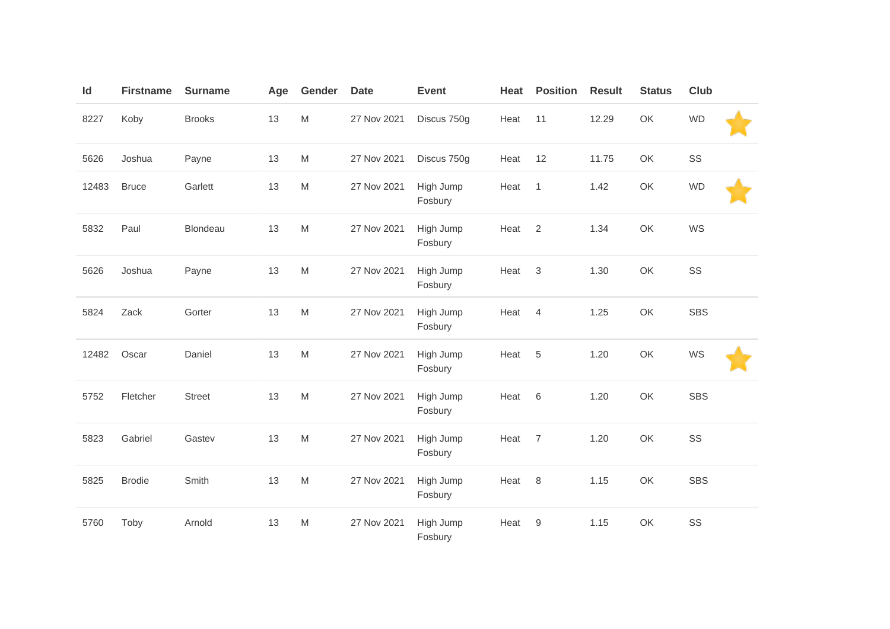| Id    | <b>Firstname</b> | <b>Surname</b> | Age | Gender                                                                                | <b>Date</b> | <b>Event</b>         | Heat | <b>Position</b> | <b>Result</b> | <b>Status</b> | Club       |
|-------|------------------|----------------|-----|---------------------------------------------------------------------------------------|-------------|----------------------|------|-----------------|---------------|---------------|------------|
| 8227  | Koby             | <b>Brooks</b>  | 13  | M                                                                                     | 27 Nov 2021 | Discus 750g          | Heat | 11              | 12.29         | OK            | <b>WD</b>  |
| 5626  | Joshua           | Payne          | 13  | ${\sf M}$                                                                             | 27 Nov 2021 | Discus 750g          | Heat | 12              | 11.75         | OK            | SS         |
| 12483 | <b>Bruce</b>     | Garlett        | 13  | $\mathsf{M}% _{T}=\mathsf{M}_{T}\!\left( a,b\right) ,\ \mathsf{M}_{T}=\mathsf{M}_{T}$ | 27 Nov 2021 | High Jump<br>Fosbury | Heat | $\mathbf{1}$    | 1.42          | OK            | <b>WD</b>  |
| 5832  | Paul             | Blondeau       | 13  | $\mathsf{M}% _{T}=\mathsf{M}_{T}\!\left( a,b\right) ,\ \mathsf{M}_{T}=\mathsf{M}_{T}$ | 27 Nov 2021 | High Jump<br>Fosbury | Heat | 2               | 1.34          | OK            | WS         |
| 5626  | Joshua           | Payne          | 13  | $\mathsf{M}% _{T}=\mathsf{M}_{T}\!\left( a,b\right) ,\ \mathsf{M}_{T}=\mathsf{M}_{T}$ | 27 Nov 2021 | High Jump<br>Fosbury | Heat | $\sqrt{3}$      | 1.30          | OK            | SS         |
| 5824  | Zack             | Gorter         | 13  | $\mathsf{M}% _{T}=\mathsf{M}_{T}\!\left( a,b\right) ,\ \mathsf{M}_{T}=\mathsf{M}_{T}$ | 27 Nov 2021 | High Jump<br>Fosbury | Heat | $\overline{4}$  | 1.25          | OK            | <b>SBS</b> |
| 12482 | Oscar            | Daniel         | 13  | $\mathsf{M}% _{T}=\mathsf{M}_{T}\!\left( a,b\right) ,\ \mathsf{M}_{T}=\mathsf{M}_{T}$ | 27 Nov 2021 | High Jump<br>Fosbury | Heat | 5               | 1.20          | OK            | WS         |
| 5752  | Fletcher         | <b>Street</b>  | 13  | $\mathsf{M}% _{T}=\mathsf{M}_{T}\!\left( a,b\right) ,\ \mathsf{M}_{T}=\mathsf{M}_{T}$ | 27 Nov 2021 | High Jump<br>Fosbury | Heat | 6               | 1.20          | OK            | <b>SBS</b> |
| 5823  | Gabriel          | Gastev         | 13  | $\mathsf{M}% _{T}=\mathsf{M}_{T}\!\left( a,b\right) ,\ \mathsf{M}_{T}=\mathsf{M}_{T}$ | 27 Nov 2021 | High Jump<br>Fosbury | Heat | $\overline{7}$  | 1.20          | OK            | SS         |
| 5825  | <b>Brodie</b>    | Smith          | 13  | $\mathsf{M}% _{T}=\mathsf{M}_{T}\!\left( a,b\right) ,\ \mathsf{M}_{T}=\mathsf{M}_{T}$ | 27 Nov 2021 | High Jump<br>Fosbury | Heat | 8               | 1.15          | OK            | <b>SBS</b> |
| 5760  | Toby             | Arnold         | 13  | ${\sf M}$                                                                             | 27 Nov 2021 | High Jump<br>Fosbury | Heat | 9               | 1.15          | OK            | SS         |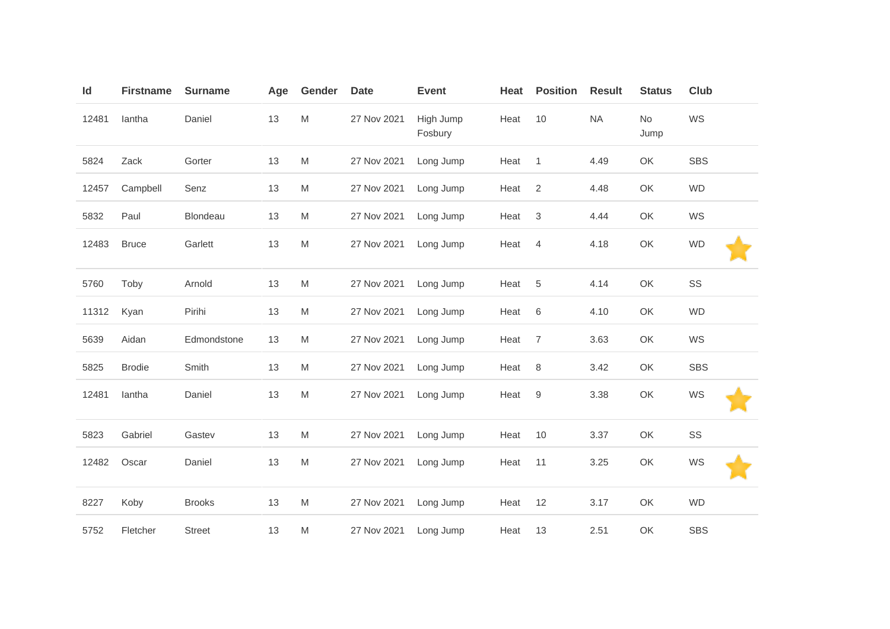| Id    | <b>Firstname</b> | <b>Surname</b> | Age | Gender    | <b>Date</b> | <b>Event</b>         | Heat | <b>Position</b> | <b>Result</b> | <b>Status</b>     | <b>Club</b> |  |
|-------|------------------|----------------|-----|-----------|-------------|----------------------|------|-----------------|---------------|-------------------|-------------|--|
| 12481 | lantha           | Daniel         | 13  | M         | 27 Nov 2021 | High Jump<br>Fosbury | Heat | 10              | <b>NA</b>     | <b>No</b><br>Jump | WS          |  |
| 5824  | Zack             | Gorter         | 13  | ${\sf M}$ | 27 Nov 2021 | Long Jump            | Heat | $\overline{1}$  | 4.49          | OK                | <b>SBS</b>  |  |
| 12457 | Campbell         | Senz           | 13  | M         | 27 Nov 2021 | Long Jump            | Heat | $\overline{2}$  | 4.48          | OK                | <b>WD</b>   |  |
| 5832  | Paul             | Blondeau       | 13  | M         | 27 Nov 2021 | Long Jump            | Heat | 3               | 4.44          | OK                | WS          |  |
| 12483 | <b>Bruce</b>     | Garlett        | 13  | ${\sf M}$ | 27 Nov 2021 | Long Jump            | Heat | $\overline{4}$  | 4.18          | OK                | <b>WD</b>   |  |
| 5760  | Toby             | Arnold         | 13  | ${\sf M}$ | 27 Nov 2021 | Long Jump            | Heat | 5               | 4.14          | OK                | SS          |  |
| 11312 | Kyan             | Pirihi         | 13  | M         | 27 Nov 2021 | Long Jump            | Heat | $\,6\,$         | 4.10          | OK                | <b>WD</b>   |  |
| 5639  | Aidan            | Edmondstone    | 13  | M         | 27 Nov 2021 | Long Jump            | Heat | $\overline{7}$  | 3.63          | OK                | WS          |  |
| 5825  | <b>Brodie</b>    | Smith          | 13  | M         | 27 Nov 2021 | Long Jump            | Heat | 8               | 3.42          | OK                | <b>SBS</b>  |  |
| 12481 | lantha           | Daniel         | 13  | M         | 27 Nov 2021 | Long Jump            | Heat | 9               | 3.38          | OK                | WS          |  |
| 5823  | Gabriel          | Gastev         | 13  | ${\sf M}$ | 27 Nov 2021 | Long Jump            | Heat | 10              | 3.37          | OK                | SS          |  |
| 12482 | Oscar            | Daniel         | 13  | ${\sf M}$ | 27 Nov 2021 | Long Jump            | Heat | 11              | 3.25          | OK                | WS          |  |
| 8227  | Koby             | <b>Brooks</b>  | 13  | M         | 27 Nov 2021 | Long Jump            | Heat | 12              | 3.17          | OK                | <b>WD</b>   |  |
| 5752  | Fletcher         | <b>Street</b>  | 13  | M         | 27 Nov 2021 | Long Jump            | Heat | 13              | 2.51          | OK                | <b>SBS</b>  |  |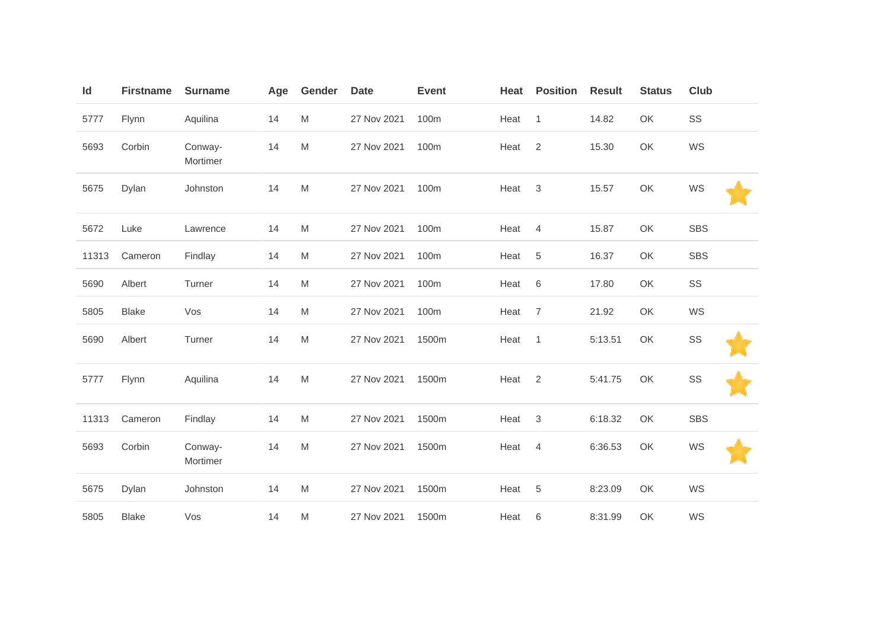| Id    | <b>Firstname</b> | <b>Surname</b>      | Age | Gender    | <b>Date</b> | <b>Event</b> | Heat | <b>Position</b> | <b>Result</b> | <b>Status</b> | <b>Club</b> |  |
|-------|------------------|---------------------|-----|-----------|-------------|--------------|------|-----------------|---------------|---------------|-------------|--|
| 5777  | Flynn            | Aquilina            | 14  | M         | 27 Nov 2021 | 100m         | Heat | $\mathbf{1}$    | 14.82         | OK            | SS          |  |
| 5693  | Corbin           | Conway-<br>Mortimer | 14  | ${\sf M}$ | 27 Nov 2021 | 100m         | Heat | $\sqrt{2}$      | 15.30         | OK            | WS          |  |
| 5675  | Dylan            | Johnston            | 14  | ${\sf M}$ | 27 Nov 2021 | 100m         | Heat | 3               | 15.57         | OK            | WS          |  |
| 5672  | Luke             | Lawrence            | 14  | ${\sf M}$ | 27 Nov 2021 | 100m         | Heat | $\overline{4}$  | 15.87         | OK            | <b>SBS</b>  |  |
| 11313 | Cameron          | Findlay             | 14  | ${\sf M}$ | 27 Nov 2021 | 100m         | Heat | 5               | 16.37         | OK            | <b>SBS</b>  |  |
| 5690  | Albert           | Turner              | 14  | M         | 27 Nov 2021 | 100m         | Heat | 6               | 17.80         | OK            | SS          |  |
| 5805  | <b>Blake</b>     | Vos                 | 14  | ${\sf M}$ | 27 Nov 2021 | 100m         | Heat | $\overline{7}$  | 21.92         | OK            | WS          |  |
| 5690  | Albert           | Turner              | 14  | M         | 27 Nov 2021 | 1500m        | Heat | $\mathbf{1}$    | 5:13.51       | OK            | SS          |  |
| 5777  | Flynn            | Aquilina            | 14  | ${\sf M}$ | 27 Nov 2021 | 1500m        | Heat | 2               | 5:41.75       | OK            | SS          |  |
| 11313 | Cameron          | Findlay             | 14  | ${\sf M}$ | 27 Nov 2021 | 1500m        | Heat | 3               | 6:18.32       | OK            | <b>SBS</b>  |  |
| 5693  | Corbin           | Conway-<br>Mortimer | 14  | M         | 27 Nov 2021 | 1500m        | Heat | 4               | 6:36.53       | OK            | WS          |  |
| 5675  | Dylan            | Johnston            | 14  | ${\sf M}$ | 27 Nov 2021 | 1500m        | Heat | 5               | 8:23.09       | OK            | WS          |  |
| 5805  | <b>Blake</b>     | Vos                 | 14  | M         | 27 Nov 2021 | 1500m        | Heat | 6               | 8:31.99       | OK            | WS          |  |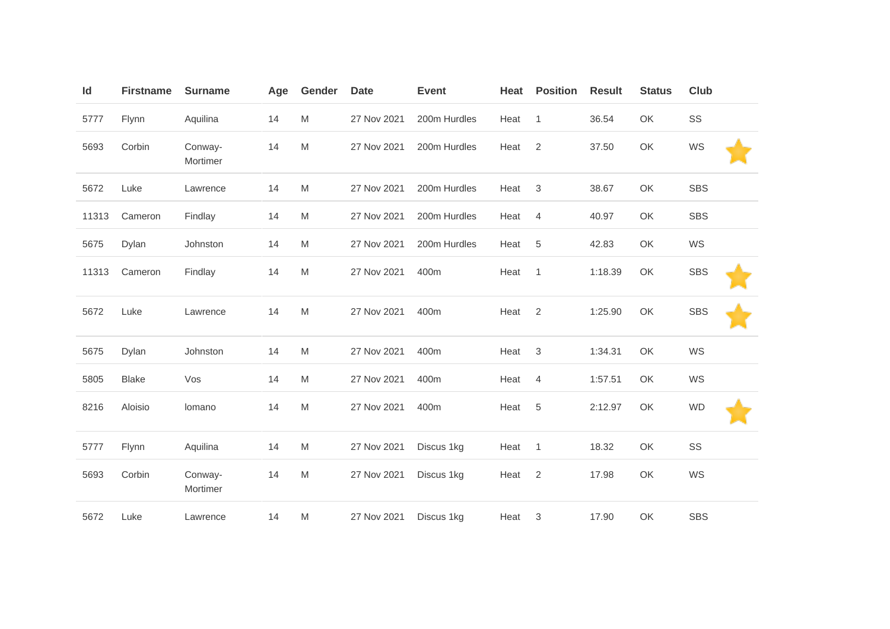| Id    | <b>Firstname</b> | <b>Surname</b>      | Age | Gender | <b>Date</b> | <b>Event</b> | Heat | <b>Position</b> | <b>Result</b> | <b>Status</b> | <b>Club</b> |  |
|-------|------------------|---------------------|-----|--------|-------------|--------------|------|-----------------|---------------|---------------|-------------|--|
| 5777  | Flynn            | Aquilina            | 14  | M      | 27 Nov 2021 | 200m Hurdles | Heat | $\mathbf{1}$    | 36.54         | OK            | SS          |  |
| 5693  | Corbin           | Conway-<br>Mortimer | 14  | M      | 27 Nov 2021 | 200m Hurdles | Heat | 2               | 37.50         | OK            | WS          |  |
| 5672  | Luke             | Lawrence            | 14  | M      | 27 Nov 2021 | 200m Hurdles | Heat | 3               | 38.67         | OK            | <b>SBS</b>  |  |
| 11313 | Cameron          | Findlay             | 14  | M      | 27 Nov 2021 | 200m Hurdles | Heat | $\overline{4}$  | 40.97         | OK            | <b>SBS</b>  |  |
| 5675  | Dylan            | Johnston            | 14  | M      | 27 Nov 2021 | 200m Hurdles | Heat | 5               | 42.83         | OK            | WS          |  |
| 11313 | Cameron          | Findlay             | 14  | M      | 27 Nov 2021 | 400m         | Heat | $\mathbf{1}$    | 1:18.39       | OK            | <b>SBS</b>  |  |
| 5672  | Luke             | Lawrence            | 14  | M      | 27 Nov 2021 | 400m         | Heat | 2               | 1:25.90       | OK            | <b>SBS</b>  |  |
| 5675  | Dylan            | Johnston            | 14  | M      | 27 Nov 2021 | 400m         | Heat | 3               | 1:34.31       | OK            | WS          |  |
| 5805  | <b>Blake</b>     | Vos                 | 14  | M      | 27 Nov 2021 | 400m         | Heat | $\overline{4}$  | 1:57.51       | OK            | WS          |  |
| 8216  | Aloisio          | lomano              | 14  | M      | 27 Nov 2021 | 400m         | Heat | $\sqrt{5}$      | 2:12.97       | OK            | <b>WD</b>   |  |
| 5777  | Flynn            | Aquilina            | 14  | M      | 27 Nov 2021 | Discus 1kg   | Heat | $\overline{1}$  | 18.32         | OK            | SS          |  |
| 5693  | Corbin           | Conway-<br>Mortimer | 14  | M      | 27 Nov 2021 | Discus 1kg   | Heat | $\sqrt{2}$      | 17.98         | OK            | WS          |  |
| 5672  | Luke             | Lawrence            | 14  | M      | 27 Nov 2021 | Discus 1kg   | Heat | 3               | 17.90         | OK            | <b>SBS</b>  |  |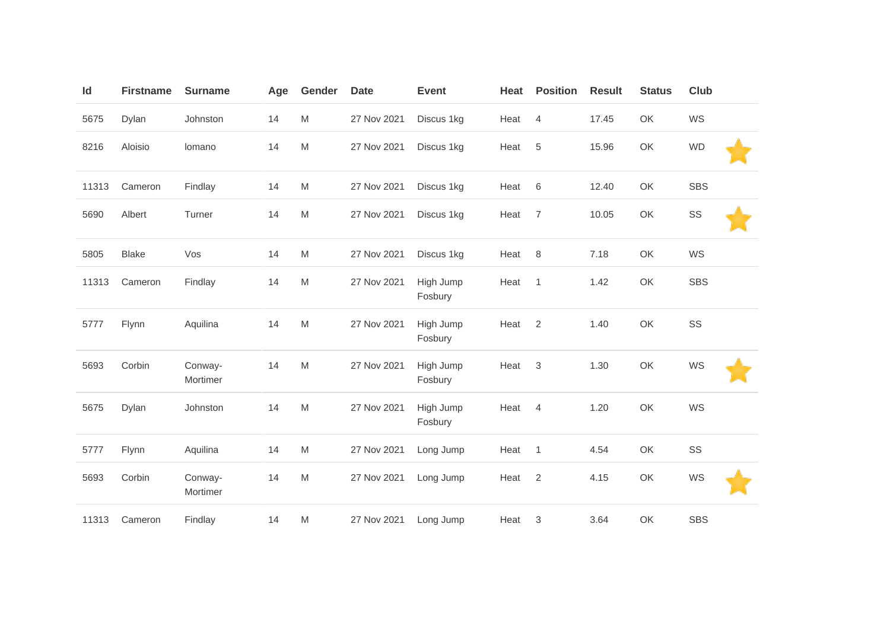| Id    | <b>Firstname</b> | <b>Surname</b>      | Age | Gender    | <b>Date</b> | <b>Event</b>         | Heat | <b>Position</b> | <b>Result</b> | <b>Status</b> | <b>Club</b> |
|-------|------------------|---------------------|-----|-----------|-------------|----------------------|------|-----------------|---------------|---------------|-------------|
| 5675  | Dylan            | Johnston            | 14  | M         | 27 Nov 2021 | Discus 1kg           | Heat | 4               | 17.45         | OK            | WS          |
| 8216  | Aloisio          | Iomano              | 14  | ${\sf M}$ | 27 Nov 2021 | Discus 1kg           | Heat | 5               | 15.96         | OK            | <b>WD</b>   |
| 11313 | Cameron          | Findlay             | 14  | M         | 27 Nov 2021 | Discus 1kg           | Heat | 6               | 12.40         | OK            | <b>SBS</b>  |
| 5690  | Albert           | Turner              | 14  | M         | 27 Nov 2021 | Discus 1kg           | Heat | $\overline{7}$  | 10.05         | OK            | SS          |
| 5805  | <b>Blake</b>     | Vos                 | 14  | ${\sf M}$ | 27 Nov 2021 | Discus 1kg           | Heat | 8               | 7.18          | OK            | WS          |
| 11313 | Cameron          | Findlay             | 14  | M         | 27 Nov 2021 | High Jump<br>Fosbury | Heat | $\overline{1}$  | 1.42          | OK            | <b>SBS</b>  |
| 5777  | Flynn            | Aquilina            | 14  | M         | 27 Nov 2021 | High Jump<br>Fosbury | Heat | 2               | 1.40          | OK            | SS          |
| 5693  | Corbin           | Conway-<br>Mortimer | 14  | M         | 27 Nov 2021 | High Jump<br>Fosbury | Heat | 3               | 1.30          | OK            | WS          |
| 5675  | Dylan            | Johnston            | 14  | ${\sf M}$ | 27 Nov 2021 | High Jump<br>Fosbury | Heat | 4               | 1.20          | OK            | WS          |
| 5777  | Flynn            | Aquilina            | 14  | M         | 27 Nov 2021 | Long Jump            | Heat | $\overline{1}$  | 4.54          | OK            | SS          |
| 5693  | Corbin           | Conway-<br>Mortimer | 14  | M         | 27 Nov 2021 | Long Jump            | Heat | 2               | 4.15          | OK            | WS          |
| 11313 | Cameron          | Findlay             | 14  | M         | 27 Nov 2021 | Long Jump            | Heat | 3               | 3.64          | OK            | <b>SBS</b>  |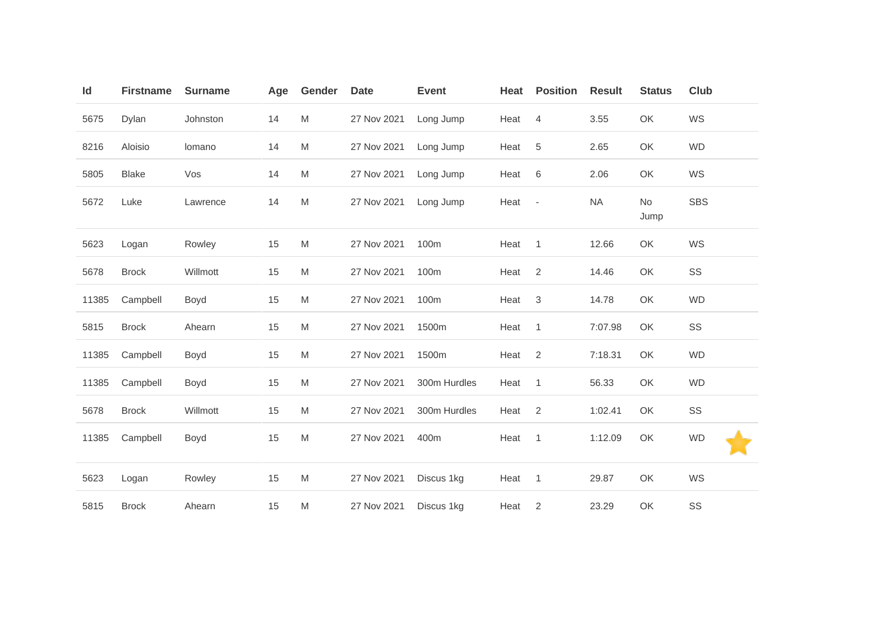| Id    | <b>Firstname</b> | <b>Surname</b> | Age | Gender | <b>Date</b> | <b>Event</b> | Heat | <b>Position</b>          | <b>Result</b> | <b>Status</b> | Club       |
|-------|------------------|----------------|-----|--------|-------------|--------------|------|--------------------------|---------------|---------------|------------|
| 5675  | Dylan            | Johnston       | 14  | M      | 27 Nov 2021 | Long Jump    | Heat | $\overline{4}$           | 3.55          | OK            | WS         |
| 8216  | Aloisio          | Iomano         | 14  | M      | 27 Nov 2021 | Long Jump    | Heat | $\sqrt{5}$               | 2.65          | OK            | <b>WD</b>  |
| 5805  | <b>Blake</b>     | Vos            | 14  | M      | 27 Nov 2021 | Long Jump    | Heat | 6                        | 2.06          | OK            | WS         |
| 5672  | Luke             | Lawrence       | 14  | M      | 27 Nov 2021 | Long Jump    | Heat | $\overline{\phantom{a}}$ | <b>NA</b>     | No<br>Jump    | <b>SBS</b> |
| 5623  | Logan            | Rowley         | 15  | M      | 27 Nov 2021 | 100m         | Heat | $\overline{1}$           | 12.66         | OK            | WS         |
| 5678  | <b>Brock</b>     | Willmott       | 15  | M      | 27 Nov 2021 | 100m         | Heat | $\overline{2}$           | 14.46         | OK            | SS         |
| 11385 | Campbell         | Boyd           | 15  | M      | 27 Nov 2021 | 100m         | Heat | 3                        | 14.78         | OK            | <b>WD</b>  |
| 5815  | <b>Brock</b>     | Ahearn         | 15  | M      | 27 Nov 2021 | 1500m        | Heat | $\overline{1}$           | 7:07.98       | OK            | SS         |
| 11385 | Campbell         | Boyd           | 15  | M      | 27 Nov 2021 | 1500m        | Heat | $\overline{2}$           | 7:18.31       | OK            | <b>WD</b>  |
| 11385 | Campbell         | Boyd           | 15  | M      | 27 Nov 2021 | 300m Hurdles | Heat | $\overline{1}$           | 56.33         | OK            | <b>WD</b>  |
| 5678  | <b>Brock</b>     | Willmott       | 15  | M      | 27 Nov 2021 | 300m Hurdles | Heat | 2                        | 1:02.41       | OK            | SS         |
| 11385 | Campbell         | Boyd           | 15  | M      | 27 Nov 2021 | 400m         | Heat | $\overline{1}$           | 1:12.09       | OK            | <b>WD</b>  |
| 5623  | Logan            | Rowley         | 15  | M      | 27 Nov 2021 | Discus 1kg   | Heat | $\overline{1}$           | 29.87         | OK            | WS         |
| 5815  | <b>Brock</b>     | Ahearn         | 15  | M      | 27 Nov 2021 | Discus 1kg   | Heat | 2                        | 23.29         | OK            | SS         |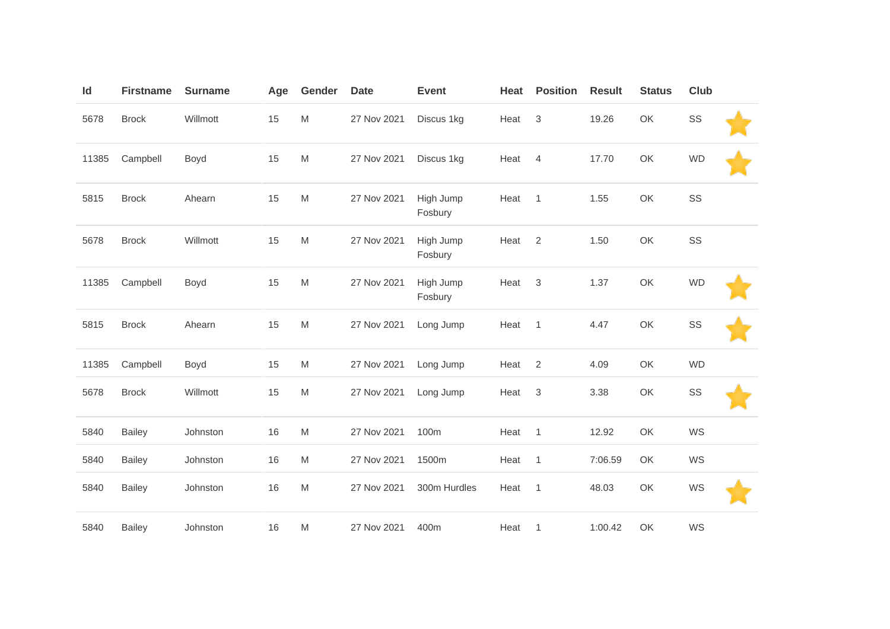| Id    | <b>Firstname</b> | <b>Surname</b> | Age | Gender    | <b>Date</b> | <b>Event</b>         | Heat | <b>Position</b> | <b>Result</b> | <b>Status</b> | Club      |  |
|-------|------------------|----------------|-----|-----------|-------------|----------------------|------|-----------------|---------------|---------------|-----------|--|
| 5678  | <b>Brock</b>     | Willmott       | 15  | ${\sf M}$ | 27 Nov 2021 | Discus 1kg           | Heat | $\sqrt{3}$      | 19.26         | OK            | SS        |  |
| 11385 | Campbell         | Boyd           | 15  | ${\sf M}$ | 27 Nov 2021 | Discus 1kg           | Heat | $\overline{4}$  | 17.70         | OK            | <b>WD</b> |  |
| 5815  | <b>Brock</b>     | Ahearn         | 15  | ${\sf M}$ | 27 Nov 2021 | High Jump<br>Fosbury | Heat | $\overline{1}$  | 1.55          | OK            | SS        |  |
| 5678  | <b>Brock</b>     | Willmott       | 15  | ${\sf M}$ | 27 Nov 2021 | High Jump<br>Fosbury | Heat | 2               | 1.50          | OK            | SS        |  |
| 11385 | Campbell         | Boyd           | 15  | ${\sf M}$ | 27 Nov 2021 | High Jump<br>Fosbury | Heat | 3               | 1.37          | OK            | <b>WD</b> |  |
| 5815  | <b>Brock</b>     | Ahearn         | 15  | ${\sf M}$ | 27 Nov 2021 | Long Jump            | Heat | $\overline{1}$  | 4.47          | OK            | SS        |  |
| 11385 | Campbell         | Boyd           | 15  | ${\sf M}$ | 27 Nov 2021 | Long Jump            | Heat | 2               | 4.09          | OK            | <b>WD</b> |  |
| 5678  | <b>Brock</b>     | Willmott       | 15  | M         | 27 Nov 2021 | Long Jump            | Heat | 3               | 3.38          | OK            | SS        |  |
| 5840  | <b>Bailey</b>    | Johnston       | 16  | M         | 27 Nov 2021 | 100m                 | Heat | $\overline{1}$  | 12.92         | OK            | WS        |  |
| 5840  | <b>Bailey</b>    | Johnston       | 16  | M         | 27 Nov 2021 | 1500m                | Heat | $\overline{1}$  | 7:06.59       | OK            | WS        |  |
| 5840  | <b>Bailey</b>    | Johnston       | 16  | M         | 27 Nov 2021 | 300m Hurdles         | Heat | $\overline{1}$  | 48.03         | OK            | WS        |  |
| 5840  | <b>Bailey</b>    | Johnston       | 16  | M         | 27 Nov 2021 | 400m                 | Heat | $\overline{1}$  | 1:00.42       | OK            | WS        |  |